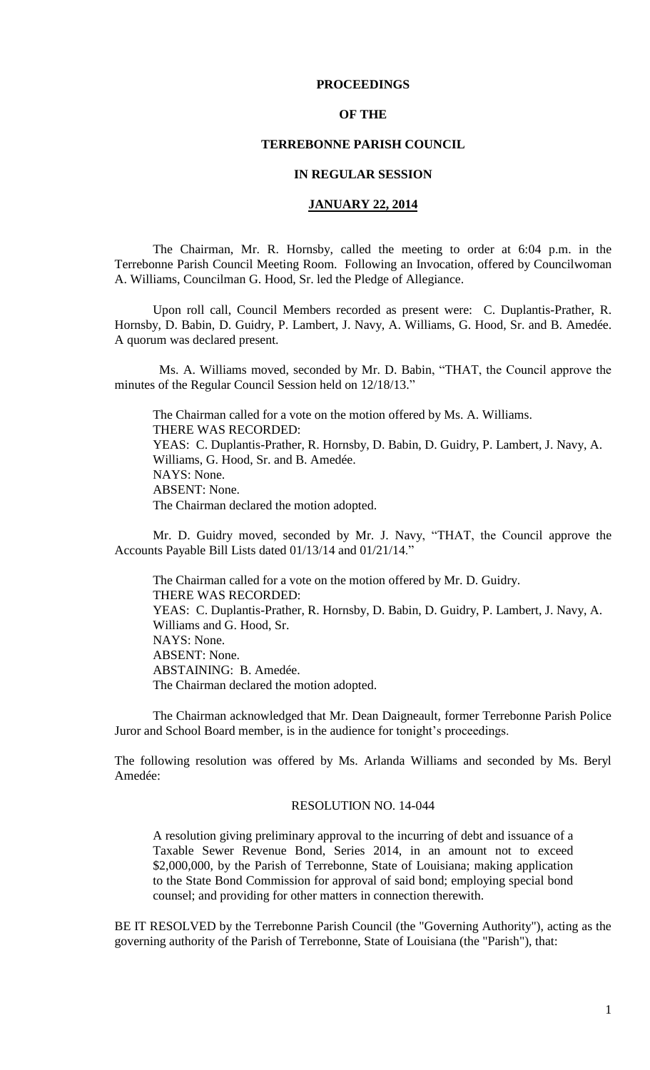## **PROCEEDINGS**

## **OF THE**

## **TERREBONNE PARISH COUNCIL**

## **IN REGULAR SESSION**

## **JANUARY 22, 2014**

The Chairman, Mr. R. Hornsby, called the meeting to order at 6:04 p.m. in the Terrebonne Parish Council Meeting Room. Following an Invocation, offered by Councilwoman A. Williams, Councilman G. Hood, Sr. led the Pledge of Allegiance.

Upon roll call, Council Members recorded as present were: C. Duplantis-Prather, R. Hornsby, D. Babin, D. Guidry, P. Lambert, J. Navy, A. Williams, G. Hood, Sr. and B. Amedée. A quorum was declared present.

 Ms. A. Williams moved, seconded by Mr. D. Babin, "THAT, the Council approve the minutes of the Regular Council Session held on 12/18/13."

The Chairman called for a vote on the motion offered by Ms. A. Williams. THERE WAS RECORDED: YEAS: C. Duplantis-Prather, R. Hornsby, D. Babin, D. Guidry, P. Lambert, J. Navy, A. Williams, G. Hood, Sr. and B. Amedée. NAYS: None. ABSENT: None. The Chairman declared the motion adopted.

Mr. D. Guidry moved, seconded by Mr. J. Navy, "THAT, the Council approve the Accounts Payable Bill Lists dated 01/13/14 and 01/21/14."

The Chairman called for a vote on the motion offered by Mr. D. Guidry. THERE WAS RECORDED: YEAS: C. Duplantis-Prather, R. Hornsby, D. Babin, D. Guidry, P. Lambert, J. Navy, A. Williams and G. Hood, Sr. NAYS: None. ABSENT: None. ABSTAINING: B. Amedée. The Chairman declared the motion adopted.

The Chairman acknowledged that Mr. Dean Daigneault, former Terrebonne Parish Police Juror and School Board member, is in the audience for tonight's proceedings.

The following resolution was offered by Ms. Arlanda Williams and seconded by Ms. Beryl Amedée:

#### RESOLUTION NO. 14-044

A resolution giving preliminary approval to the incurring of debt and issuance of a Taxable Sewer Revenue Bond, Series 2014, in an amount not to exceed \$2,000,000, by the Parish of Terrebonne, State of Louisiana; making application to the State Bond Commission for approval of said bond; employing special bond counsel; and providing for other matters in connection therewith.

BE IT RESOLVED by the Terrebonne Parish Council (the "Governing Authority"), acting as the governing authority of the Parish of Terrebonne, State of Louisiana (the "Parish"), that: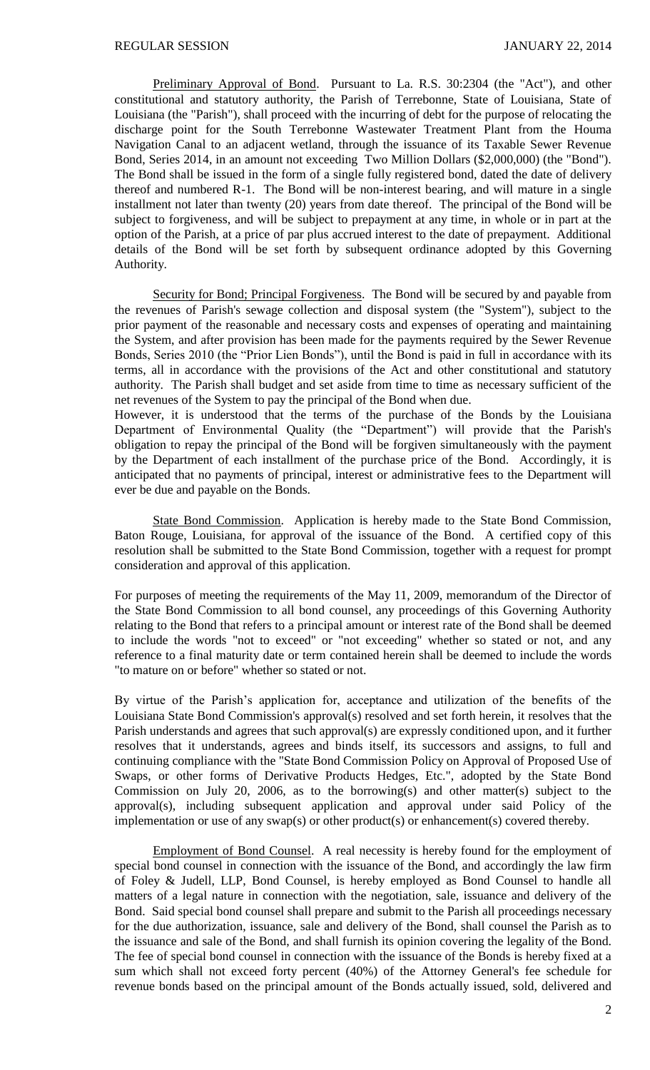Preliminary Approval of Bond. Pursuant to La. R.S. 30:2304 (the "Act"), and other constitutional and statutory authority, the Parish of Terrebonne, State of Louisiana, State of Louisiana (the "Parish"), shall proceed with the incurring of debt for the purpose of relocating the discharge point for the South Terrebonne Wastewater Treatment Plant from the Houma Navigation Canal to an adjacent wetland, through the issuance of its Taxable Sewer Revenue Bond, Series 2014, in an amount not exceeding Two Million Dollars (\$2,000,000) (the "Bond"). The Bond shall be issued in the form of a single fully registered bond, dated the date of delivery thereof and numbered R-1. The Bond will be non-interest bearing, and will mature in a single installment not later than twenty (20) years from date thereof. The principal of the Bond will be subject to forgiveness, and will be subject to prepayment at any time, in whole or in part at the option of the Parish, at a price of par plus accrued interest to the date of prepayment. Additional details of the Bond will be set forth by subsequent ordinance adopted by this Governing Authority.

Security for Bond; Principal Forgiveness. The Bond will be secured by and payable from the revenues of Parish's sewage collection and disposal system (the "System"), subject to the prior payment of the reasonable and necessary costs and expenses of operating and maintaining the System, and after provision has been made for the payments required by the Sewer Revenue Bonds, Series 2010 (the "Prior Lien Bonds"), until the Bond is paid in full in accordance with its terms, all in accordance with the provisions of the Act and other constitutional and statutory authority. The Parish shall budget and set aside from time to time as necessary sufficient of the net revenues of the System to pay the principal of the Bond when due.

However, it is understood that the terms of the purchase of the Bonds by the Louisiana Department of Environmental Quality (the "Department") will provide that the Parish's obligation to repay the principal of the Bond will be forgiven simultaneously with the payment by the Department of each installment of the purchase price of the Bond. Accordingly, it is anticipated that no payments of principal, interest or administrative fees to the Department will ever be due and payable on the Bonds.

State Bond Commission. Application is hereby made to the State Bond Commission, Baton Rouge, Louisiana, for approval of the issuance of the Bond. A certified copy of this resolution shall be submitted to the State Bond Commission, together with a request for prompt consideration and approval of this application.

For purposes of meeting the requirements of the May 11, 2009, memorandum of the Director of the State Bond Commission to all bond counsel, any proceedings of this Governing Authority relating to the Bond that refers to a principal amount or interest rate of the Bond shall be deemed to include the words "not to exceed" or "not exceeding" whether so stated or not, and any reference to a final maturity date or term contained herein shall be deemed to include the words "to mature on or before" whether so stated or not.

By virtue of the Parish's application for, acceptance and utilization of the benefits of the Louisiana State Bond Commission's approval(s) resolved and set forth herein, it resolves that the Parish understands and agrees that such approval(s) are expressly conditioned upon, and it further resolves that it understands, agrees and binds itself, its successors and assigns, to full and continuing compliance with the "State Bond Commission Policy on Approval of Proposed Use of Swaps, or other forms of Derivative Products Hedges, Etc.", adopted by the State Bond Commission on July 20, 2006, as to the borrowing(s) and other matter(s) subject to the approval(s), including subsequent application and approval under said Policy of the implementation or use of any swap(s) or other product(s) or enhancement(s) covered thereby.

Employment of Bond Counsel. A real necessity is hereby found for the employment of special bond counsel in connection with the issuance of the Bond, and accordingly the law firm of Foley & Judell, LLP, Bond Counsel, is hereby employed as Bond Counsel to handle all matters of a legal nature in connection with the negotiation, sale, issuance and delivery of the Bond. Said special bond counsel shall prepare and submit to the Parish all proceedings necessary for the due authorization, issuance, sale and delivery of the Bond, shall counsel the Parish as to the issuance and sale of the Bond, and shall furnish its opinion covering the legality of the Bond. The fee of special bond counsel in connection with the issuance of the Bonds is hereby fixed at a sum which shall not exceed forty percent (40%) of the Attorney General's fee schedule for revenue bonds based on the principal amount of the Bonds actually issued, sold, delivered and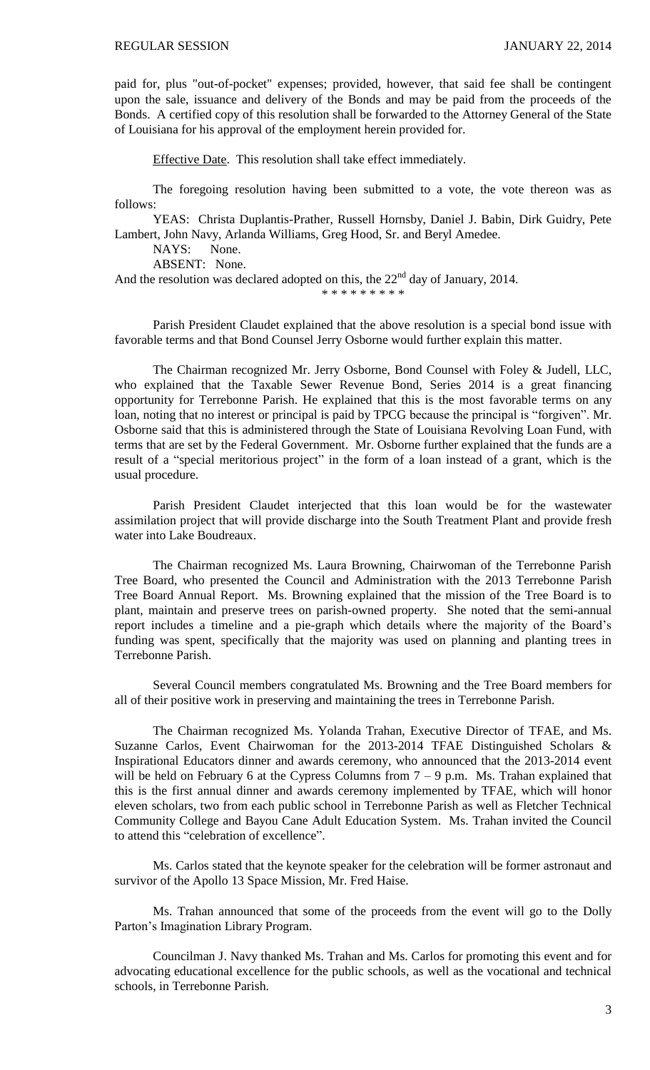paid for, plus "out-of-pocket" expenses; provided, however, that said fee shall be contingent upon the sale, issuance and delivery of the Bonds and may be paid from the proceeds of the Bonds. A certified copy of this resolution shall be forwarded to the Attorney General of the State of Louisiana for his approval of the employment herein provided for.

Effective Date. This resolution shall take effect immediately.

The foregoing resolution having been submitted to a vote, the vote thereon was as follows:

YEAS: Christa Duplantis-Prather, Russell Hornsby, Daniel J. Babin, Dirk Guidry, Pete Lambert, John Navy, Arlanda Williams, Greg Hood, Sr. and Beryl Amedee.

NAYS: None.

ABSENT: None.

And the resolution was declared adopted on this, the  $22<sup>nd</sup>$  day of January, 2014.

\* \* \* \* \* \* \* \* \*

Parish President Claudet explained that the above resolution is a special bond issue with favorable terms and that Bond Counsel Jerry Osborne would further explain this matter.

The Chairman recognized Mr. Jerry Osborne, Bond Counsel with Foley & Judell, LLC, who explained that the Taxable Sewer Revenue Bond, Series 2014 is a great financing opportunity for Terrebonne Parish. He explained that this is the most favorable terms on any loan, noting that no interest or principal is paid by TPCG because the principal is "forgiven". Mr. Osborne said that this is administered through the State of Louisiana Revolving Loan Fund, with terms that are set by the Federal Government. Mr. Osborne further explained that the funds are a result of a "special meritorious project" in the form of a loan instead of a grant, which is the usual procedure.

Parish President Claudet interjected that this loan would be for the wastewater assimilation project that will provide discharge into the South Treatment Plant and provide fresh water into Lake Boudreaux.

The Chairman recognized Ms. Laura Browning, Chairwoman of the Terrebonne Parish Tree Board, who presented the Council and Administration with the 2013 Terrebonne Parish Tree Board Annual Report. Ms. Browning explained that the mission of the Tree Board is to plant, maintain and preserve trees on parish-owned property. She noted that the semi-annual report includes a timeline and a pie-graph which details where the majority of the Board's funding was spent, specifically that the majority was used on planning and planting trees in Terrebonne Parish.

Several Council members congratulated Ms. Browning and the Tree Board members for all of their positive work in preserving and maintaining the trees in Terrebonne Parish.

The Chairman recognized Ms. Yolanda Trahan, Executive Director of TFAE, and Ms. Suzanne Carlos, Event Chairwoman for the 2013-2014 TFAE Distinguished Scholars & Inspirational Educators dinner and awards ceremony, who announced that the 2013-2014 event will be held on February 6 at the Cypress Columns from  $7 - 9$  p.m. Ms. Trahan explained that this is the first annual dinner and awards ceremony implemented by TFAE, which will honor eleven scholars, two from each public school in Terrebonne Parish as well as Fletcher Technical Community College and Bayou Cane Adult Education System. Ms. Trahan invited the Council to attend this "celebration of excellence".

Ms. Carlos stated that the keynote speaker for the celebration will be former astronaut and survivor of the Apollo 13 Space Mission, Mr. Fred Haise.

Ms. Trahan announced that some of the proceeds from the event will go to the Dolly Parton's Imagination Library Program.

Councilman J. Navy thanked Ms. Trahan and Ms. Carlos for promoting this event and for advocating educational excellence for the public schools, as well as the vocational and technical schools, in Terrebonne Parish.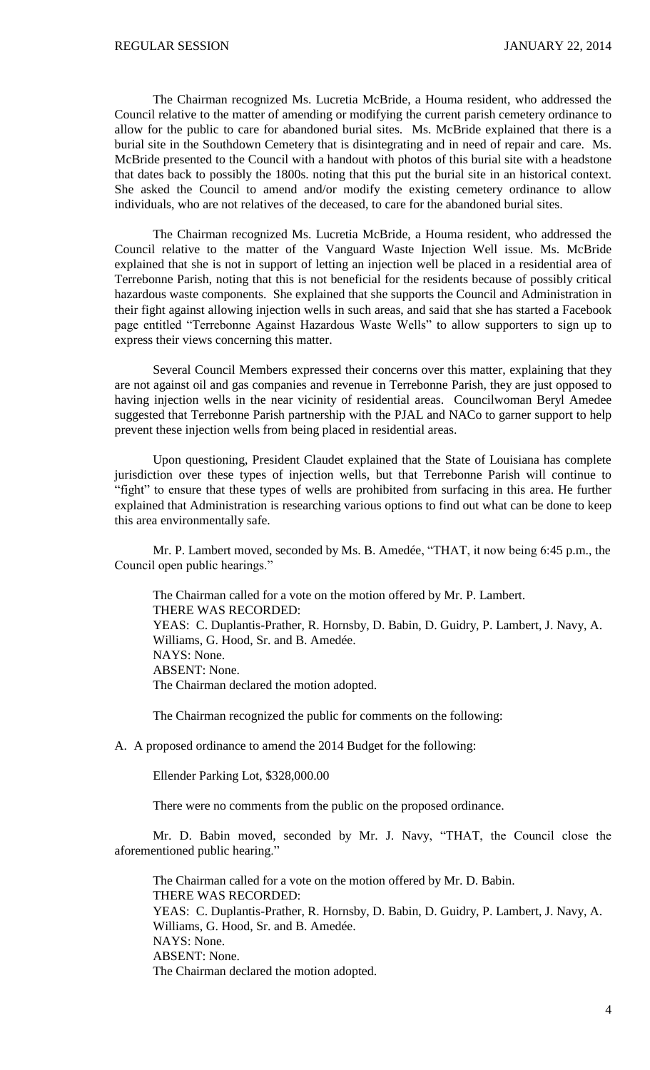The Chairman recognized Ms. Lucretia McBride, a Houma resident, who addressed the Council relative to the matter of amending or modifying the current parish cemetery ordinance to allow for the public to care for abandoned burial sites. Ms. McBride explained that there is a burial site in the Southdown Cemetery that is disintegrating and in need of repair and care. Ms. McBride presented to the Council with a handout with photos of this burial site with a headstone that dates back to possibly the 1800s. noting that this put the burial site in an historical context. She asked the Council to amend and/or modify the existing cemetery ordinance to allow individuals, who are not relatives of the deceased, to care for the abandoned burial sites.

The Chairman recognized Ms. Lucretia McBride, a Houma resident, who addressed the Council relative to the matter of the Vanguard Waste Injection Well issue. Ms. McBride explained that she is not in support of letting an injection well be placed in a residential area of Terrebonne Parish, noting that this is not beneficial for the residents because of possibly critical hazardous waste components. She explained that she supports the Council and Administration in their fight against allowing injection wells in such areas, and said that she has started a Facebook page entitled "Terrebonne Against Hazardous Waste Wells" to allow supporters to sign up to express their views concerning this matter.

Several Council Members expressed their concerns over this matter, explaining that they are not against oil and gas companies and revenue in Terrebonne Parish, they are just opposed to having injection wells in the near vicinity of residential areas. Councilwoman Beryl Amedee suggested that Terrebonne Parish partnership with the PJAL and NACo to garner support to help prevent these injection wells from being placed in residential areas.

Upon questioning, President Claudet explained that the State of Louisiana has complete jurisdiction over these types of injection wells, but that Terrebonne Parish will continue to "fight" to ensure that these types of wells are prohibited from surfacing in this area. He further explained that Administration is researching various options to find out what can be done to keep this area environmentally safe.

Mr. P. Lambert moved, seconded by Ms. B. Amedée, "THAT, it now being 6:45 p.m., the Council open public hearings."

The Chairman called for a vote on the motion offered by Mr. P. Lambert. THERE WAS RECORDED: YEAS: C. Duplantis-Prather, R. Hornsby, D. Babin, D. Guidry, P. Lambert, J. Navy, A. Williams, G. Hood, Sr. and B. Amedée. NAYS: None. ABSENT: None. The Chairman declared the motion adopted.

The Chairman recognized the public for comments on the following:

A. A proposed ordinance to amend the 2014 Budget for the following:

Ellender Parking Lot, \$328,000.00

There were no comments from the public on the proposed ordinance.

Mr. D. Babin moved, seconded by Mr. J. Navy, "THAT, the Council close the aforementioned public hearing."

The Chairman called for a vote on the motion offered by Mr. D. Babin. THERE WAS RECORDED: YEAS: C. Duplantis-Prather, R. Hornsby, D. Babin, D. Guidry, P. Lambert, J. Navy, A. Williams, G. Hood, Sr. and B. Amedée. NAYS: None. ABSENT: None. The Chairman declared the motion adopted.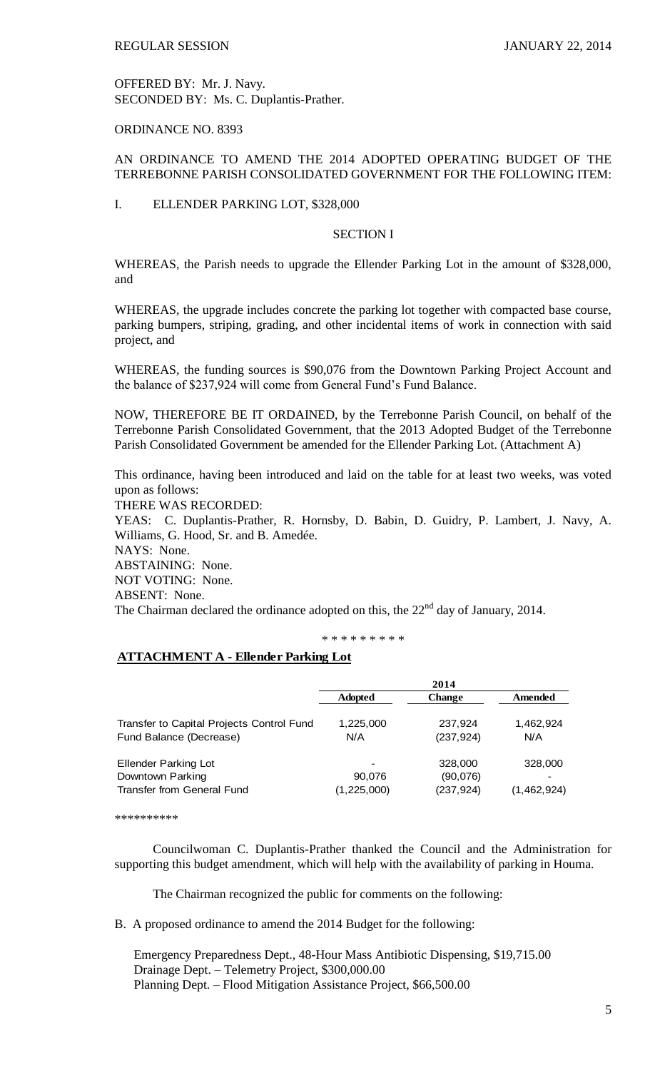OFFERED BY: Mr. J. Navy. SECONDED BY: Ms. C. Duplantis-Prather.

# ORDINANCE NO. 8393

# AN ORDINANCE TO AMEND THE 2014 ADOPTED OPERATING BUDGET OF THE TERREBONNE PARISH CONSOLIDATED GOVERNMENT FOR THE FOLLOWING ITEM:

## I. ELLENDER PARKING LOT, \$328,000

### SECTION I

WHEREAS, the Parish needs to upgrade the Ellender Parking Lot in the amount of \$328,000, and

WHEREAS, the upgrade includes concrete the parking lot together with compacted base course, parking bumpers, striping, grading, and other incidental items of work in connection with said project, and

WHEREAS, the funding sources is \$90,076 from the Downtown Parking Project Account and the balance of \$237,924 will come from General Fund's Fund Balance.

NOW, THEREFORE BE IT ORDAINED, by the Terrebonne Parish Council, on behalf of the Terrebonne Parish Consolidated Government, that the 2013 Adopted Budget of the Terrebonne Parish Consolidated Government be amended for the Ellender Parking Lot. (Attachment A)

This ordinance, having been introduced and laid on the table for at least two weeks, was voted upon as follows:

THERE WAS RECORDED:

YEAS: C. Duplantis-Prather, R. Hornsby, D. Babin, D. Guidry, P. Lambert, J. Navy, A. Williams, G. Hood, Sr. and B. Amedée.

NAYS: None.

ABSTAINING: None.

NOT VOTING: None.

ABSENT: None.

The Chairman declared the ordinance adopted on this, the  $22<sup>nd</sup>$  day of January, 2014.

#### \* \* \* \* \* \* \* \* \*

# **ATTACHMENT A - Ellender Parking Lot**

|                                           | 2014                     |               |             |
|-------------------------------------------|--------------------------|---------------|-------------|
|                                           | <b>Adopted</b>           | <b>Change</b> | Amended     |
| Transfer to Capital Projects Control Fund | 1,225,000                | 237,924       | 1,462,924   |
| Fund Balance (Decrease)                   | N/A                      | (237, 924)    | N/A         |
| <b>Ellender Parking Lot</b>               | $\overline{\phantom{a}}$ | 328,000       | 328,000     |
| Downtown Parking                          | 90,076                   | (90,076)      |             |
| <b>Transfer from General Fund</b>         | (1, 225, 000)            | (237, 924)    | (1,462,924) |

\*\*\*\*\*\*\*\*\*\*

Councilwoman C. Duplantis-Prather thanked the Council and the Administration for supporting this budget amendment, which will help with the availability of parking in Houma.

The Chairman recognized the public for comments on the following:

B. A proposed ordinance to amend the 2014 Budget for the following:

Emergency Preparedness Dept., 48-Hour Mass Antibiotic Dispensing, \$19,715.00 Drainage Dept. – Telemetry Project, \$300,000.00 Planning Dept. – Flood Mitigation Assistance Project, \$66,500.00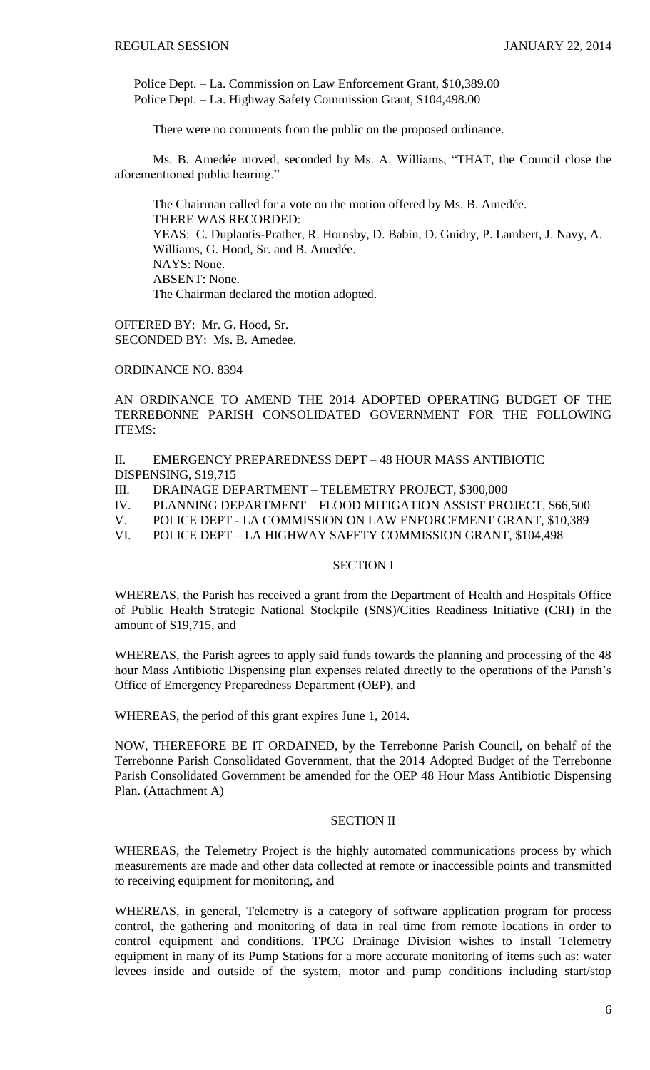Police Dept. – La. Commission on Law Enforcement Grant, \$10,389.00 Police Dept. – La. Highway Safety Commission Grant, \$104,498.00

There were no comments from the public on the proposed ordinance.

Ms. B. Amedée moved, seconded by Ms. A. Williams, "THAT, the Council close the aforementioned public hearing."

The Chairman called for a vote on the motion offered by Ms. B. Amedée. THERE WAS RECORDED: YEAS: C. Duplantis-Prather, R. Hornsby, D. Babin, D. Guidry, P. Lambert, J. Navy, A. Williams, G. Hood, Sr. and B. Amedée. NAYS: None. ABSENT: None. The Chairman declared the motion adopted.

OFFERED BY: Mr. G. Hood, Sr. SECONDED BY: Ms. B. Amedee.

ORDINANCE NO. 8394

AN ORDINANCE TO AMEND THE 2014 ADOPTED OPERATING BUDGET OF THE TERREBONNE PARISH CONSOLIDATED GOVERNMENT FOR THE FOLLOWING ITEMS:

II. EMERGENCY PREPAREDNESS DEPT – 48 HOUR MASS ANTIBIOTIC DISPENSING, \$19,715

III. DRAINAGE DEPARTMENT – TELEMETRY PROJECT, \$300,000

IV. PLANNING DEPARTMENT – FLOOD MITIGATION ASSIST PROJECT, \$66,500

V. POLICE DEPT - LA COMMISSION ON LAW ENFORCEMENT GRANT, \$10,389

VI. POLICE DEPT – LA HIGHWAY SAFETY COMMISSION GRANT, \$104,498

## SECTION I

WHEREAS, the Parish has received a grant from the Department of Health and Hospitals Office of Public Health Strategic National Stockpile (SNS)/Cities Readiness Initiative (CRI) in the amount of \$19,715, and

WHEREAS, the Parish agrees to apply said funds towards the planning and processing of the 48 hour Mass Antibiotic Dispensing plan expenses related directly to the operations of the Parish's Office of Emergency Preparedness Department (OEP), and

WHEREAS, the period of this grant expires June 1, 2014.

NOW, THEREFORE BE IT ORDAINED, by the Terrebonne Parish Council, on behalf of the Terrebonne Parish Consolidated Government, that the 2014 Adopted Budget of the Terrebonne Parish Consolidated Government be amended for the OEP 48 Hour Mass Antibiotic Dispensing Plan. (Attachment A)

## SECTION II

WHEREAS, the Telemetry Project is the highly automated communications process by which measurements are made and other data collected at remote or inaccessible points and transmitted to receiving equipment for monitoring, and

WHEREAS, in general, Telemetry is a category of software application program for process control, the gathering and monitoring of data in real time from remote locations in order to control equipment and conditions. TPCG Drainage Division wishes to install Telemetry equipment in many of its Pump Stations for a more accurate monitoring of items such as: water levees inside and outside of the system, motor and pump conditions including start/stop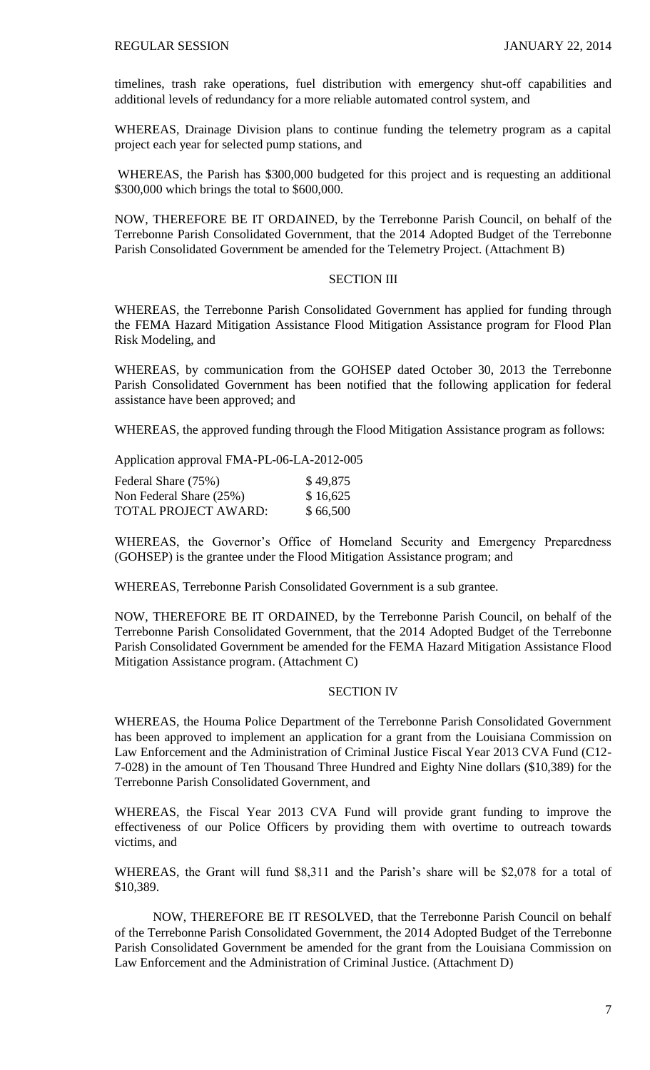timelines, trash rake operations, fuel distribution with emergency shut-off capabilities and additional levels of redundancy for a more reliable automated control system, and

WHEREAS, Drainage Division plans to continue funding the telemetry program as a capital project each year for selected pump stations, and

WHEREAS, the Parish has \$300,000 budgeted for this project and is requesting an additional \$300,000 which brings the total to \$600,000.

NOW, THEREFORE BE IT ORDAINED, by the Terrebonne Parish Council, on behalf of the Terrebonne Parish Consolidated Government, that the 2014 Adopted Budget of the Terrebonne Parish Consolidated Government be amended for the Telemetry Project. (Attachment B)

# **SECTION III**

WHEREAS, the Terrebonne Parish Consolidated Government has applied for funding through the FEMA Hazard Mitigation Assistance Flood Mitigation Assistance program for Flood Plan Risk Modeling, and

WHEREAS, by communication from the GOHSEP dated October 30, 2013 the Terrebonne Parish Consolidated Government has been notified that the following application for federal assistance have been approved; and

WHEREAS, the approved funding through the Flood Mitigation Assistance program as follows:

Application approval FMA-PL-06-LA-2012-005

| Federal Share (75%)         | \$49,875 |
|-----------------------------|----------|
| Non Federal Share (25%)     | \$16,625 |
| <b>TOTAL PROJECT AWARD:</b> | \$66,500 |

WHEREAS, the Governor's Office of Homeland Security and Emergency Preparedness (GOHSEP) is the grantee under the Flood Mitigation Assistance program; and

WHEREAS, Terrebonne Parish Consolidated Government is a sub grantee.

NOW, THEREFORE BE IT ORDAINED, by the Terrebonne Parish Council, on behalf of the Terrebonne Parish Consolidated Government, that the 2014 Adopted Budget of the Terrebonne Parish Consolidated Government be amended for the FEMA Hazard Mitigation Assistance Flood Mitigation Assistance program. (Attachment C)

#### SECTION IV

WHEREAS, the Houma Police Department of the Terrebonne Parish Consolidated Government has been approved to implement an application for a grant from the Louisiana Commission on Law Enforcement and the Administration of Criminal Justice Fiscal Year 2013 CVA Fund (C12- 7-028) in the amount of Ten Thousand Three Hundred and Eighty Nine dollars (\$10,389) for the Terrebonne Parish Consolidated Government, and

WHEREAS, the Fiscal Year 2013 CVA Fund will provide grant funding to improve the effectiveness of our Police Officers by providing them with overtime to outreach towards victims, and

WHEREAS, the Grant will fund \$8,311 and the Parish's share will be \$2,078 for a total of \$10,389.

NOW, THEREFORE BE IT RESOLVED, that the Terrebonne Parish Council on behalf of the Terrebonne Parish Consolidated Government, the 2014 Adopted Budget of the Terrebonne Parish Consolidated Government be amended for the grant from the Louisiana Commission on Law Enforcement and the Administration of Criminal Justice. (Attachment D)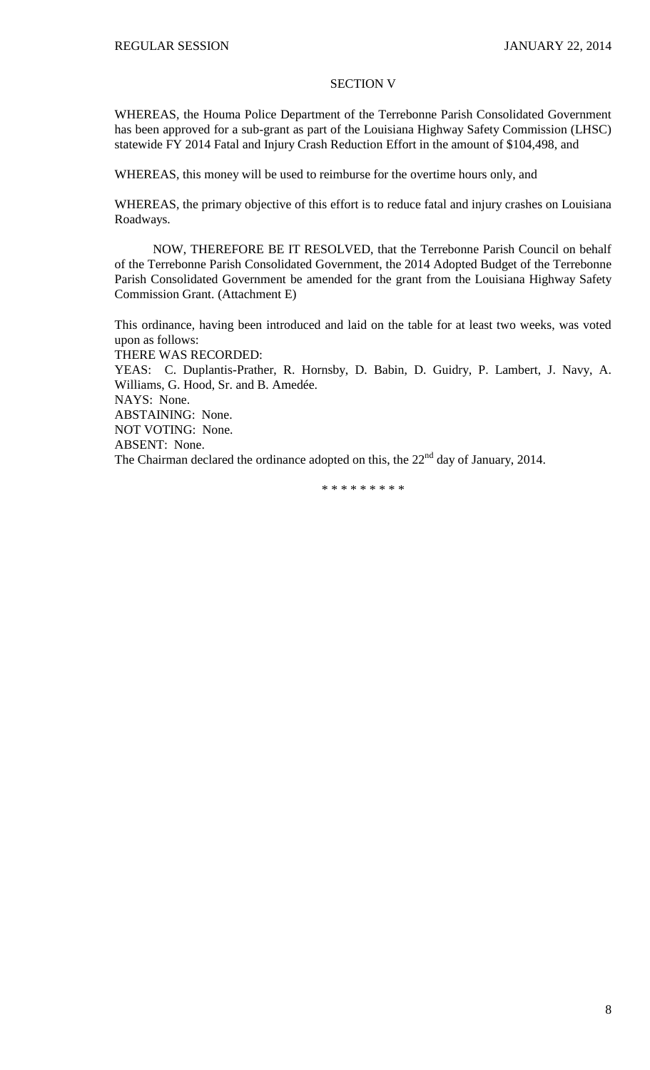# SECTION V

WHEREAS, the Houma Police Department of the Terrebonne Parish Consolidated Government has been approved for a sub-grant as part of the Louisiana Highway Safety Commission (LHSC) statewide FY 2014 Fatal and Injury Crash Reduction Effort in the amount of \$104,498, and

WHEREAS, this money will be used to reimburse for the overtime hours only, and

WHEREAS, the primary objective of this effort is to reduce fatal and injury crashes on Louisiana Roadways.

NOW, THEREFORE BE IT RESOLVED, that the Terrebonne Parish Council on behalf of the Terrebonne Parish Consolidated Government, the 2014 Adopted Budget of the Terrebonne Parish Consolidated Government be amended for the grant from the Louisiana Highway Safety Commission Grant. (Attachment E)

This ordinance, having been introduced and laid on the table for at least two weeks, was voted upon as follows:

THERE WAS RECORDED:

YEAS: C. Duplantis-Prather, R. Hornsby, D. Babin, D. Guidry, P. Lambert, J. Navy, A. Williams, G. Hood, Sr. and B. Amedée. NAYS: None. ABSTAINING: None.

NOT VOTING: None.

ABSENT: None.

The Chairman declared the ordinance adopted on this, the 22<sup>nd</sup> day of January, 2014.

\* \* \* \* \* \* \* \* \*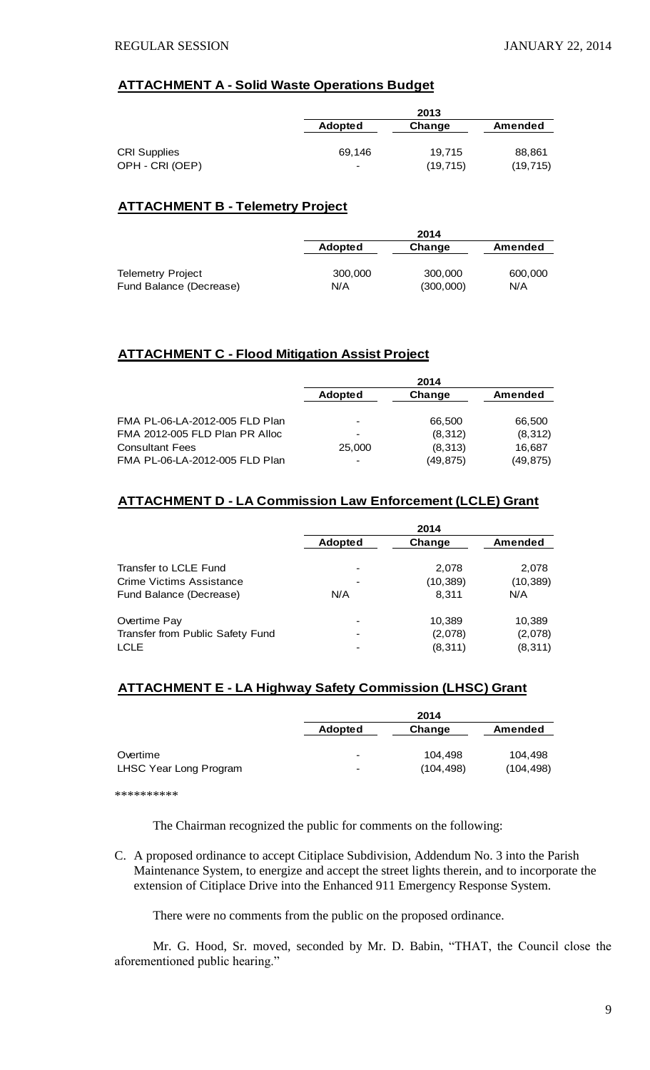# **ATTACHMENT A - Solid Waste Operations Budget**

|                     |                | 2013      |                |  |
|---------------------|----------------|-----------|----------------|--|
|                     | <b>Adopted</b> | Change    | <b>Amended</b> |  |
|                     |                |           |                |  |
| <b>CRI Supplies</b> | 69.146         | 19.715    | 88,861         |  |
| OPH - CRI (OEP)     | -              | (19, 715) | (19, 715)      |  |

# **ATTACHMENT B - Telemetry Project**

|                          |                | 2014      |                |  |
|--------------------------|----------------|-----------|----------------|--|
|                          | <b>Adopted</b> | Change    | <b>Amended</b> |  |
| <b>Telemetry Project</b> | 300,000        | 300,000   | 600,000        |  |
| Fund Balance (Decrease)  | N/A            | (300,000) | N/A            |  |

# **ATTACHMENT C - Flood Mitigation Assist Project**

|                                | 2014                     |           |           |
|--------------------------------|--------------------------|-----------|-----------|
|                                | <b>Adopted</b>           | Change    | Amended   |
|                                |                          |           |           |
| FMA PL-06-LA-2012-005 FLD Plan | $\,$                     | 66.500    | 66,500    |
| FMA 2012-005 FLD Plan PR Alloc | $\,$                     | (8,312)   | (8,312)   |
| <b>Consultant Fees</b>         | 25,000                   | (8,313)   | 16,687    |
| FMA PL-06-LA-2012-005 FLD Plan | $\overline{\phantom{a}}$ | (49, 875) | (49, 875) |

# **ATTACHMENT D - LA Commission Law Enforcement (LCLE) Grant**

|                                  |                              | 2014      |           |
|----------------------------------|------------------------------|-----------|-----------|
|                                  | <b>Adopted</b>               | Change    | Amended   |
| Transfer to LCLE Fund            | $\overline{\phantom{a}}$     | 2,078     | 2,078     |
| Crime Victims Assistance         |                              | (10, 389) | (10, 389) |
| Fund Balance (Decrease)          | N/A                          | 8.311     | N/A       |
| Overtime Pay                     |                              | 10,389    | 10,389    |
| Transfer from Public Safety Fund | $\overline{\phantom{a}}$     | (2,078)   | (2,078)   |
| <b>LCLE</b>                      | $\qquad \qquad \blacksquare$ | (8, 311)  | (8, 311)  |

# **ATTACHMENT E - LA Highway Safety Commission (LHSC) Grant**

|                        |                          | 2014       |            |  |
|------------------------|--------------------------|------------|------------|--|
|                        | <b>Adopted</b>           | Change     | Amended    |  |
|                        |                          |            |            |  |
| Overtime               | $\,$                     | 104.498    | 104.498    |  |
| LHSC Year Long Program | $\overline{\phantom{a}}$ | (104, 498) | (104, 498) |  |
|                        |                          |            |            |  |

\*\*\*\*\*\*\*\*\*\*

The Chairman recognized the public for comments on the following:

C. A proposed ordinance to accept Citiplace Subdivision, Addendum No. 3 into the Parish Maintenance System, to energize and accept the street lights therein, and to incorporate the extension of Citiplace Drive into the Enhanced 911 Emergency Response System.

There were no comments from the public on the proposed ordinance.

Mr. G. Hood, Sr. moved, seconded by Mr. D. Babin, "THAT, the Council close the aforementioned public hearing."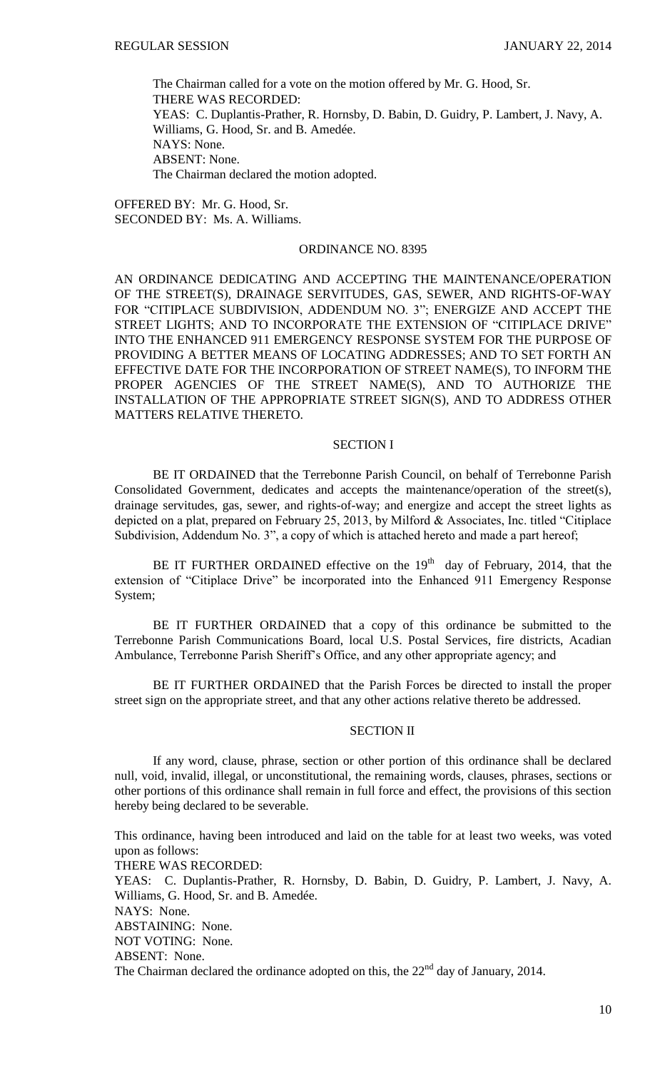The Chairman called for a vote on the motion offered by Mr. G. Hood, Sr. THERE WAS RECORDED: YEAS: C. Duplantis-Prather, R. Hornsby, D. Babin, D. Guidry, P. Lambert, J. Navy, A. Williams, G. Hood, Sr. and B. Amedée. NAYS: None. ABSENT: None. The Chairman declared the motion adopted.

OFFERED BY: Mr. G. Hood, Sr. SECONDED BY: Ms. A. Williams.

#### ORDINANCE NO. 8395

AN ORDINANCE DEDICATING AND ACCEPTING THE MAINTENANCE/OPERATION OF THE STREET(S), DRAINAGE SERVITUDES, GAS, SEWER, AND RIGHTS-OF-WAY FOR "CITIPLACE SUBDIVISION, ADDENDUM NO. 3"; ENERGIZE AND ACCEPT THE STREET LIGHTS; AND TO INCORPORATE THE EXTENSION OF "CITIPLACE DRIVE" INTO THE ENHANCED 911 EMERGENCY RESPONSE SYSTEM FOR THE PURPOSE OF PROVIDING A BETTER MEANS OF LOCATING ADDRESSES; AND TO SET FORTH AN EFFECTIVE DATE FOR THE INCORPORATION OF STREET NAME(S), TO INFORM THE PROPER AGENCIES OF THE STREET NAME(S), AND TO AUTHORIZE THE INSTALLATION OF THE APPROPRIATE STREET SIGN(S), AND TO ADDRESS OTHER MATTERS RELATIVE THERETO.

## SECTION I

BE IT ORDAINED that the Terrebonne Parish Council, on behalf of Terrebonne Parish Consolidated Government, dedicates and accepts the maintenance/operation of the street(s), drainage servitudes, gas, sewer, and rights-of-way; and energize and accept the street lights as depicted on a plat, prepared on February 25, 2013, by Milford & Associates, Inc. titled "Citiplace Subdivision, Addendum No. 3", a copy of which is attached hereto and made a part hereof;

BE IT FURTHER ORDAINED effective on the  $19<sup>th</sup>$  day of February, 2014, that the extension of "Citiplace Drive" be incorporated into the Enhanced 911 Emergency Response System;

BE IT FURTHER ORDAINED that a copy of this ordinance be submitted to the Terrebonne Parish Communications Board, local U.S. Postal Services, fire districts, Acadian Ambulance, Terrebonne Parish Sheriff's Office, and any other appropriate agency; and

BE IT FURTHER ORDAINED that the Parish Forces be directed to install the proper street sign on the appropriate street, and that any other actions relative thereto be addressed.

# SECTION II

If any word, clause, phrase, section or other portion of this ordinance shall be declared null, void, invalid, illegal, or unconstitutional, the remaining words, clauses, phrases, sections or other portions of this ordinance shall remain in full force and effect, the provisions of this section hereby being declared to be severable.

This ordinance, having been introduced and laid on the table for at least two weeks, was voted upon as follows:

THERE WAS RECORDED:

YEAS: C. Duplantis-Prather, R. Hornsby, D. Babin, D. Guidry, P. Lambert, J. Navy, A. Williams, G. Hood, Sr. and B. Amedée. NAYS: None. ABSTAINING: None.

NOT VOTING: None.

ABSENT: None.

The Chairman declared the ordinance adopted on this, the  $22<sup>nd</sup>$  day of January, 2014.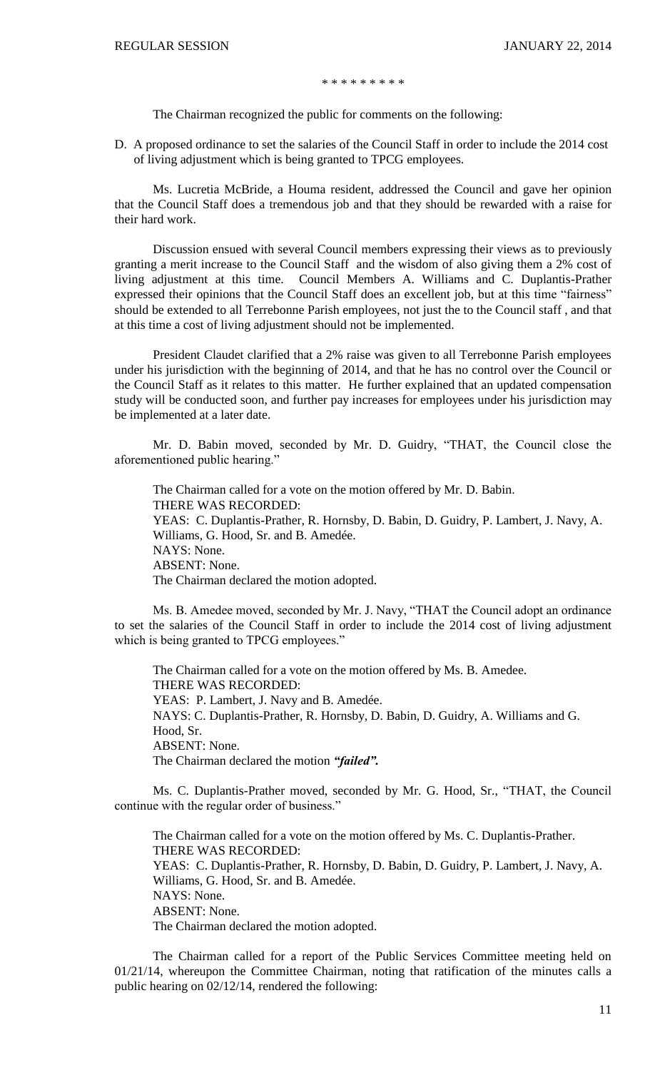\* \* \* \* \* \* \* \* \*

The Chairman recognized the public for comments on the following:

D. A proposed ordinance to set the salaries of the Council Staff in order to include the 2014 cost of living adjustment which is being granted to TPCG employees.

Ms. Lucretia McBride, a Houma resident, addressed the Council and gave her opinion that the Council Staff does a tremendous job and that they should be rewarded with a raise for their hard work.

Discussion ensued with several Council members expressing their views as to previously granting a merit increase to the Council Staff and the wisdom of also giving them a 2% cost of living adjustment at this time. Council Members A. Williams and C. Duplantis-Prather expressed their opinions that the Council Staff does an excellent job, but at this time "fairness" should be extended to all Terrebonne Parish employees, not just the to the Council staff , and that at this time a cost of living adjustment should not be implemented.

President Claudet clarified that a 2% raise was given to all Terrebonne Parish employees under his jurisdiction with the beginning of 2014, and that he has no control over the Council or the Council Staff as it relates to this matter. He further explained that an updated compensation study will be conducted soon, and further pay increases for employees under his jurisdiction may be implemented at a later date.

Mr. D. Babin moved, seconded by Mr. D. Guidry, "THAT, the Council close the aforementioned public hearing."

The Chairman called for a vote on the motion offered by Mr. D. Babin. THERE WAS RECORDED: YEAS: C. Duplantis-Prather, R. Hornsby, D. Babin, D. Guidry, P. Lambert, J. Navy, A. Williams, G. Hood, Sr. and B. Amedée. NAYS: None. ABSENT: None. The Chairman declared the motion adopted.

Ms. B. Amedee moved, seconded by Mr. J. Navy, "THAT the Council adopt an ordinance to set the salaries of the Council Staff in order to include the 2014 cost of living adjustment which is being granted to TPCG employees."

The Chairman called for a vote on the motion offered by Ms. B. Amedee. THERE WAS RECORDED: YEAS: P. Lambert, J. Navy and B. Amedée. NAYS: C. Duplantis-Prather, R. Hornsby, D. Babin, D. Guidry, A. Williams and G. Hood, Sr. ABSENT: None. The Chairman declared the motion *"failed".*

Ms. C. Duplantis-Prather moved, seconded by Mr. G. Hood, Sr., "THAT, the Council continue with the regular order of business."

The Chairman called for a vote on the motion offered by Ms. C. Duplantis-Prather. THERE WAS RECORDED: YEAS: C. Duplantis-Prather, R. Hornsby, D. Babin, D. Guidry, P. Lambert, J. Navy, A. Williams, G. Hood, Sr. and B. Amedée. NAYS: None. ABSENT: None. The Chairman declared the motion adopted.

The Chairman called for a report of the Public Services Committee meeting held on 01/21/14, whereupon the Committee Chairman, noting that ratification of the minutes calls a public hearing on 02/12/14, rendered the following: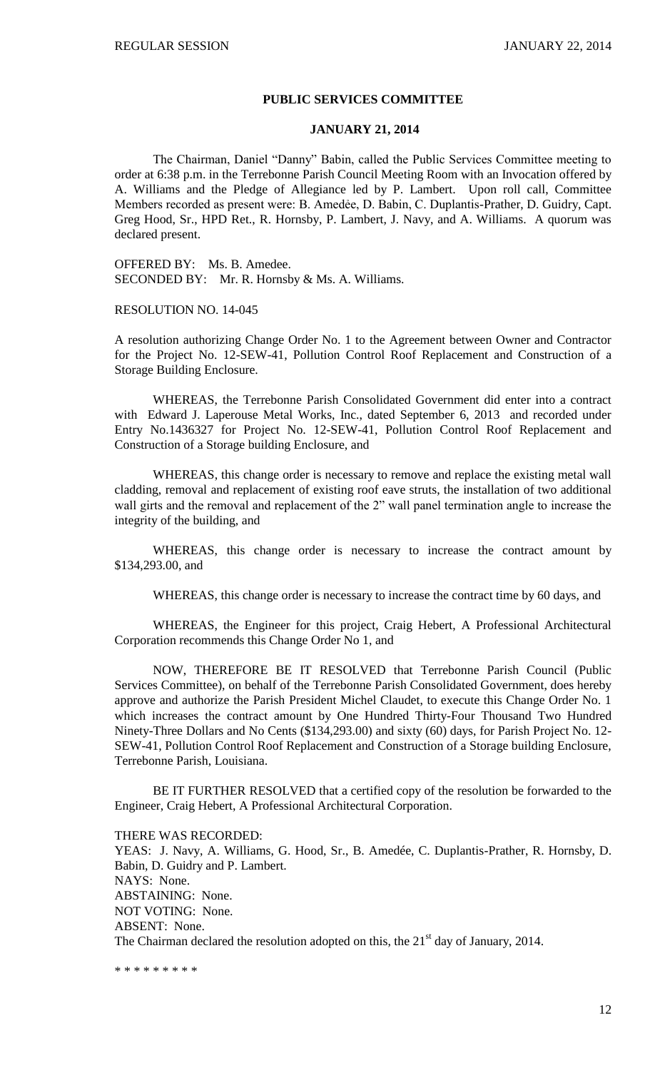#### **PUBLIC SERVICES COMMITTEE**

#### **JANUARY 21, 2014**

The Chairman, Daniel "Danny" Babin, called the Public Services Committee meeting to order at 6:38 p.m. in the Terrebonne Parish Council Meeting Room with an Invocation offered by A. Williams and the Pledge of Allegiance led by P. Lambert. Upon roll call, Committee Members recorded as present were: B. Amedẻe, D. Babin, C. Duplantis-Prather, D. Guidry, Capt. Greg Hood, Sr., HPD Ret., R. Hornsby, P. Lambert, J. Navy, and A. Williams. A quorum was declared present.

OFFERED BY: Ms. B. Amedee. SECONDED BY: Mr. R. Hornsby & Ms. A. Williams.

RESOLUTION NO. 14-045

A resolution authorizing Change Order No. 1 to the Agreement between Owner and Contractor for the Project No. 12-SEW-41, Pollution Control Roof Replacement and Construction of a Storage Building Enclosure.

WHEREAS, the Terrebonne Parish Consolidated Government did enter into a contract with Edward J. Laperouse Metal Works, Inc., dated September 6, 2013 and recorded under Entry No.1436327 for Project No. 12-SEW-41, Pollution Control Roof Replacement and Construction of a Storage building Enclosure, and

WHEREAS, this change order is necessary to remove and replace the existing metal wall cladding, removal and replacement of existing roof eave struts, the installation of two additional wall girts and the removal and replacement of the 2" wall panel termination angle to increase the integrity of the building, and

WHEREAS, this change order is necessary to increase the contract amount by \$134,293.00, and

WHEREAS, this change order is necessary to increase the contract time by 60 days, and

WHEREAS, the Engineer for this project, Craig Hebert, A Professional Architectural Corporation recommends this Change Order No 1, and

NOW, THEREFORE BE IT RESOLVED that Terrebonne Parish Council (Public Services Committee), on behalf of the Terrebonne Parish Consolidated Government, does hereby approve and authorize the Parish President Michel Claudet, to execute this Change Order No. 1 which increases the contract amount by One Hundred Thirty-Four Thousand Two Hundred Ninety-Three Dollars and No Cents (\$134,293.00) and sixty (60) days, for Parish Project No. 12- SEW-41, Pollution Control Roof Replacement and Construction of a Storage building Enclosure, Terrebonne Parish, Louisiana.

BE IT FURTHER RESOLVED that a certified copy of the resolution be forwarded to the Engineer, Craig Hebert, A Professional Architectural Corporation.

THERE WAS RECORDED:

YEAS: J. Navy, A. Williams, G. Hood, Sr., B. Amedée, C. Duplantis-Prather, R. Hornsby, D. Babin, D. Guidry and P. Lambert. NAYS: None. ABSTAINING: None. NOT VOTING: None. ABSENT: None. The Chairman declared the resolution adopted on this, the  $21<sup>st</sup>$  day of January, 2014.

\* \* \* \* \* \* \* \* \*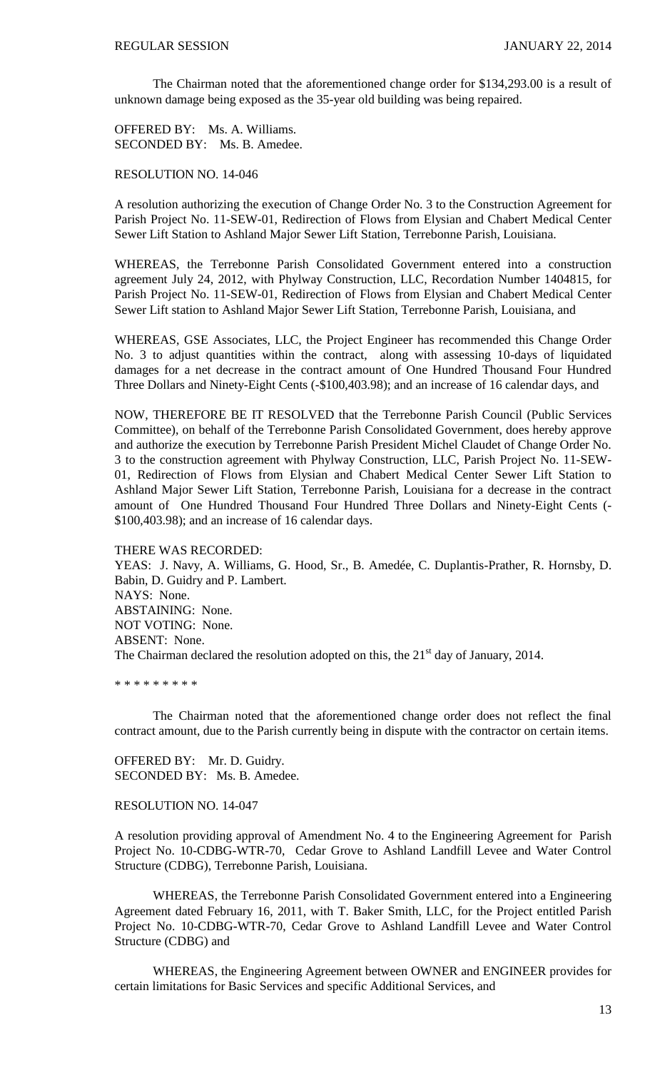The Chairman noted that the aforementioned change order for \$134,293.00 is a result of unknown damage being exposed as the 35-year old building was being repaired.

OFFERED BY: Ms. A. Williams. SECONDED BY: Ms. B. Amedee.

RESOLUTION NO. 14-046

A resolution authorizing the execution of Change Order No. 3 to the Construction Agreement for Parish Project No. 11-SEW-01, Redirection of Flows from Elysian and Chabert Medical Center Sewer Lift Station to Ashland Major Sewer Lift Station, Terrebonne Parish, Louisiana.

WHEREAS, the Terrebonne Parish Consolidated Government entered into a construction agreement July 24, 2012, with Phylway Construction, LLC, Recordation Number 1404815, for Parish Project No. 11-SEW-01, Redirection of Flows from Elysian and Chabert Medical Center Sewer Lift station to Ashland Major Sewer Lift Station, Terrebonne Parish, Louisiana, and

WHEREAS, GSE Associates, LLC, the Project Engineer has recommended this Change Order No. 3 to adjust quantities within the contract, along with assessing 10-days of liquidated damages for a net decrease in the contract amount of One Hundred Thousand Four Hundred Three Dollars and Ninety-Eight Cents (-\$100,403.98); and an increase of 16 calendar days, and

NOW, THEREFORE BE IT RESOLVED that the Terrebonne Parish Council (Public Services Committee), on behalf of the Terrebonne Parish Consolidated Government, does hereby approve and authorize the execution by Terrebonne Parish President Michel Claudet of Change Order No. 3 to the construction agreement with Phylway Construction, LLC, Parish Project No. 11-SEW-01, Redirection of Flows from Elysian and Chabert Medical Center Sewer Lift Station to Ashland Major Sewer Lift Station, Terrebonne Parish, Louisiana for a decrease in the contract amount of One Hundred Thousand Four Hundred Three Dollars and Ninety-Eight Cents (- \$100,403.98); and an increase of 16 calendar days.

THERE WAS RECORDED:

YEAS: J. Navy, A. Williams, G. Hood, Sr., B. Amedée, C. Duplantis-Prather, R. Hornsby, D. Babin, D. Guidry and P. Lambert. NAYS: None. ABSTAINING: None. NOT VOTING: None. ABSENT: None. The Chairman declared the resolution adopted on this, the  $21<sup>st</sup>$  day of January, 2014.

\* \* \* \* \* \* \* \* \*

The Chairman noted that the aforementioned change order does not reflect the final contract amount, due to the Parish currently being in dispute with the contractor on certain items.

OFFERED BY: Mr. D. Guidry. SECONDED BY: Ms. B. Amedee.

#### RESOLUTION NO. 14-047

A resolution providing approval of Amendment No. 4 to the Engineering Agreement for Parish Project No. 10-CDBG-WTR-70, Cedar Grove to Ashland Landfill Levee and Water Control Structure (CDBG), Terrebonne Parish, Louisiana.

WHEREAS, the Terrebonne Parish Consolidated Government entered into a Engineering Agreement dated February 16, 2011, with T. Baker Smith, LLC, for the Project entitled Parish Project No. 10-CDBG-WTR-70, Cedar Grove to Ashland Landfill Levee and Water Control Structure (CDBG) and

WHEREAS, the Engineering Agreement between OWNER and ENGINEER provides for certain limitations for Basic Services and specific Additional Services, and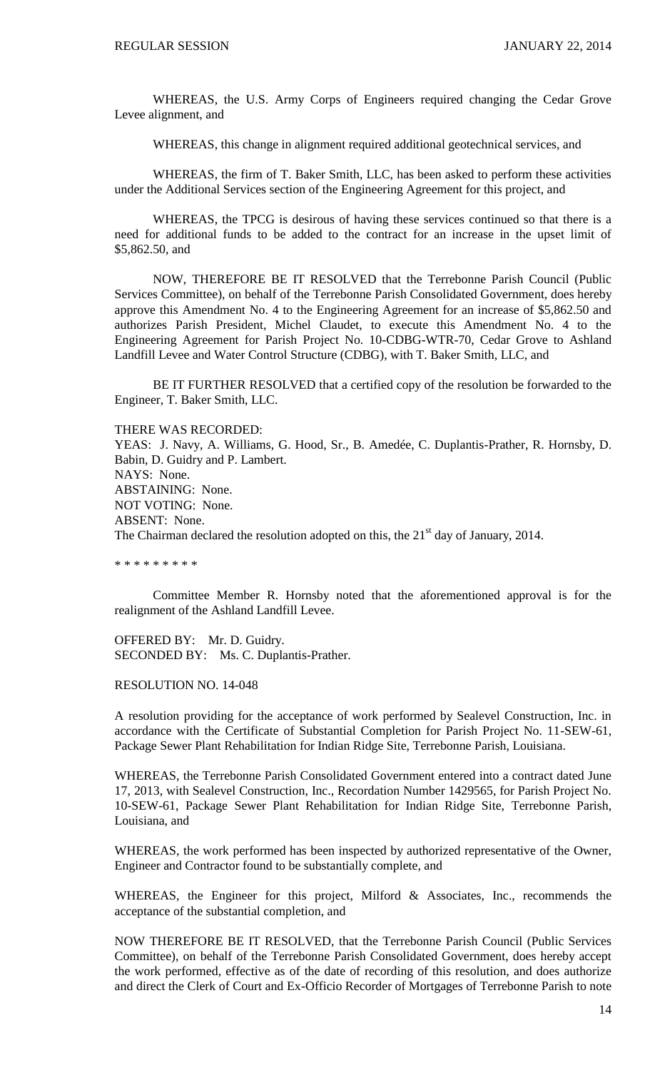WHEREAS, the U.S. Army Corps of Engineers required changing the Cedar Grove Levee alignment, and

WHEREAS, this change in alignment required additional geotechnical services, and

WHEREAS, the firm of T. Baker Smith, LLC, has been asked to perform these activities under the Additional Services section of the Engineering Agreement for this project, and

WHEREAS, the TPCG is desirous of having these services continued so that there is a need for additional funds to be added to the contract for an increase in the upset limit of \$5,862.50, and

NOW, THEREFORE BE IT RESOLVED that the Terrebonne Parish Council (Public Services Committee), on behalf of the Terrebonne Parish Consolidated Government, does hereby approve this Amendment No. 4 to the Engineering Agreement for an increase of \$5,862.50 and authorizes Parish President, Michel Claudet, to execute this Amendment No. 4 to the Engineering Agreement for Parish Project No. 10-CDBG-WTR-70, Cedar Grove to Ashland Landfill Levee and Water Control Structure (CDBG), with T. Baker Smith, LLC, and

BE IT FURTHER RESOLVED that a certified copy of the resolution be forwarded to the Engineer, T. Baker Smith, LLC.

#### THERE WAS RECORDED:

YEAS: J. Navy, A. Williams, G. Hood, Sr., B. Amedée, C. Duplantis-Prather, R. Hornsby, D. Babin, D. Guidry and P. Lambert. NAYS: None. ABSTAINING: None. NOT VOTING: None. ABSENT: None. The Chairman declared the resolution adopted on this, the  $21<sup>st</sup>$  day of January, 2014.

\* \* \* \* \* \* \* \* \*

Committee Member R. Hornsby noted that the aforementioned approval is for the realignment of the Ashland Landfill Levee.

OFFERED BY: Mr. D. Guidry. SECONDED BY: Ms. C. Duplantis-Prather.

#### RESOLUTION NO. 14-048

A resolution providing for the acceptance of work performed by Sealevel Construction, Inc. in accordance with the Certificate of Substantial Completion for Parish Project No. 11-SEW-61, Package Sewer Plant Rehabilitation for Indian Ridge Site, Terrebonne Parish, Louisiana.

WHEREAS, the Terrebonne Parish Consolidated Government entered into a contract dated June 17, 2013, with Sealevel Construction, Inc., Recordation Number 1429565, for Parish Project No. 10-SEW-61, Package Sewer Plant Rehabilitation for Indian Ridge Site, Terrebonne Parish, Louisiana, and

WHEREAS, the work performed has been inspected by authorized representative of the Owner, Engineer and Contractor found to be substantially complete, and

WHEREAS, the Engineer for this project, Milford & Associates, Inc., recommends the acceptance of the substantial completion, and

NOW THEREFORE BE IT RESOLVED, that the Terrebonne Parish Council (Public Services Committee), on behalf of the Terrebonne Parish Consolidated Government, does hereby accept the work performed, effective as of the date of recording of this resolution, and does authorize and direct the Clerk of Court and Ex-Officio Recorder of Mortgages of Terrebonne Parish to note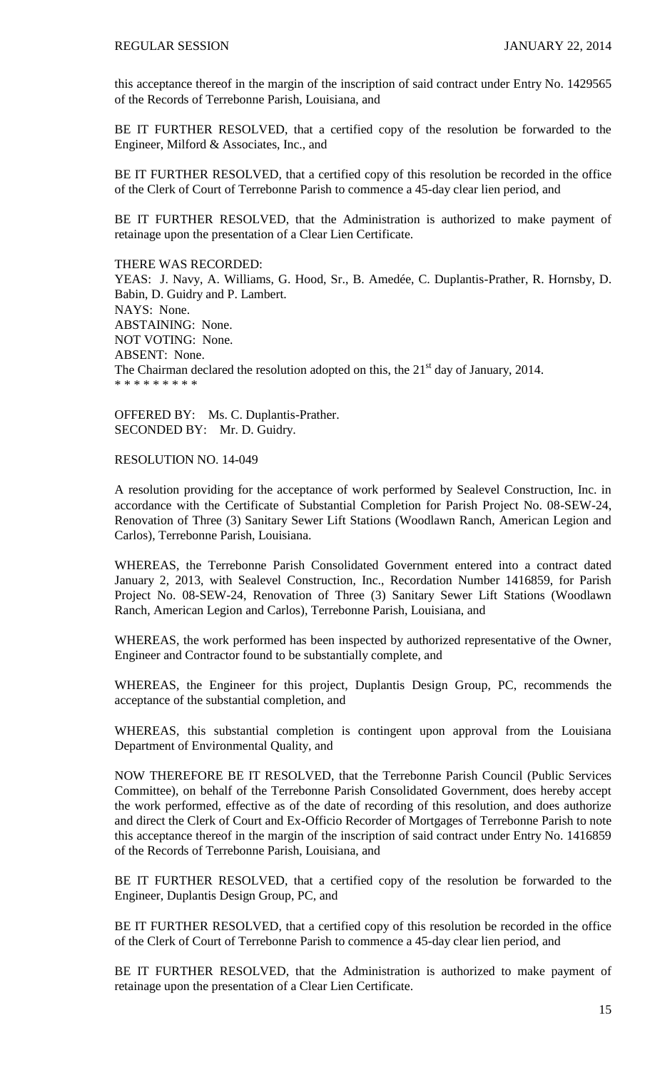this acceptance thereof in the margin of the inscription of said contract under Entry No. 1429565 of the Records of Terrebonne Parish, Louisiana, and

BE IT FURTHER RESOLVED, that a certified copy of the resolution be forwarded to the Engineer, Milford & Associates, Inc., and

BE IT FURTHER RESOLVED, that a certified copy of this resolution be recorded in the office of the Clerk of Court of Terrebonne Parish to commence a 45-day clear lien period, and

BE IT FURTHER RESOLVED, that the Administration is authorized to make payment of retainage upon the presentation of a Clear Lien Certificate.

THERE WAS RECORDED: YEAS: J. Navy, A. Williams, G. Hood, Sr., B. Amedée, C. Duplantis-Prather, R. Hornsby, D. Babin, D. Guidry and P. Lambert. NAYS: None. ABSTAINING: None. NOT VOTING: None. ABSENT: None. The Chairman declared the resolution adopted on this, the  $21<sup>st</sup>$  day of January, 2014. \* \* \* \* \* \* \* \* \*

OFFERED BY: Ms. C. Duplantis-Prather. SECONDED BY: Mr. D. Guidry.

RESOLUTION NO. 14-049

A resolution providing for the acceptance of work performed by Sealevel Construction, Inc. in accordance with the Certificate of Substantial Completion for Parish Project No. 08-SEW-24, Renovation of Three (3) Sanitary Sewer Lift Stations (Woodlawn Ranch, American Legion and Carlos), Terrebonne Parish, Louisiana.

WHEREAS, the Terrebonne Parish Consolidated Government entered into a contract dated January 2, 2013, with Sealevel Construction, Inc., Recordation Number 1416859, for Parish Project No. 08-SEW-24, Renovation of Three (3) Sanitary Sewer Lift Stations (Woodlawn Ranch, American Legion and Carlos), Terrebonne Parish, Louisiana, and

WHEREAS, the work performed has been inspected by authorized representative of the Owner, Engineer and Contractor found to be substantially complete, and

WHEREAS, the Engineer for this project, Duplantis Design Group, PC, recommends the acceptance of the substantial completion, and

WHEREAS, this substantial completion is contingent upon approval from the Louisiana Department of Environmental Quality, and

NOW THEREFORE BE IT RESOLVED, that the Terrebonne Parish Council (Public Services Committee), on behalf of the Terrebonne Parish Consolidated Government, does hereby accept the work performed, effective as of the date of recording of this resolution, and does authorize and direct the Clerk of Court and Ex-Officio Recorder of Mortgages of Terrebonne Parish to note this acceptance thereof in the margin of the inscription of said contract under Entry No. 1416859 of the Records of Terrebonne Parish, Louisiana, and

BE IT FURTHER RESOLVED, that a certified copy of the resolution be forwarded to the Engineer, Duplantis Design Group, PC, and

BE IT FURTHER RESOLVED, that a certified copy of this resolution be recorded in the office of the Clerk of Court of Terrebonne Parish to commence a 45-day clear lien period, and

BE IT FURTHER RESOLVED, that the Administration is authorized to make payment of retainage upon the presentation of a Clear Lien Certificate.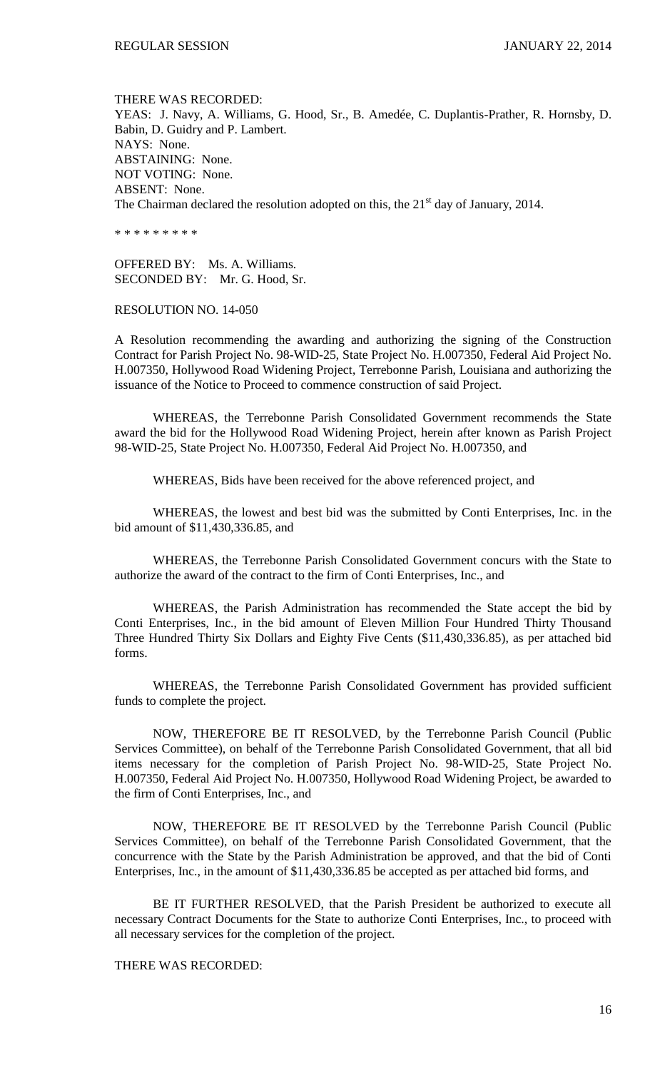THERE WAS RECORDED: YEAS: J. Navy, A. Williams, G. Hood, Sr., B. Amedée, C. Duplantis-Prather, R. Hornsby, D. Babin, D. Guidry and P. Lambert. NAYS: None. ABSTAINING: None. NOT VOTING: None. ABSENT: None. The Chairman declared the resolution adopted on this, the  $21<sup>st</sup>$  day of January, 2014.

\* \* \* \* \* \* \* \* \*

OFFERED BY: Ms. A. Williams. SECONDED BY: Mr. G. Hood, Sr.

RESOLUTION NO. 14-050

A Resolution recommending the awarding and authorizing the signing of the Construction Contract for Parish Project No. 98-WID-25, State Project No. H.007350, Federal Aid Project No. H.007350, Hollywood Road Widening Project, Terrebonne Parish, Louisiana and authorizing the issuance of the Notice to Proceed to commence construction of said Project.

WHEREAS, the Terrebonne Parish Consolidated Government recommends the State award the bid for the Hollywood Road Widening Project, herein after known as Parish Project 98-WID-25, State Project No. H.007350, Federal Aid Project No. H.007350, and

WHEREAS, Bids have been received for the above referenced project, and

WHEREAS, the lowest and best bid was the submitted by Conti Enterprises, Inc. in the bid amount of \$11,430,336.85, and

WHEREAS, the Terrebonne Parish Consolidated Government concurs with the State to authorize the award of the contract to the firm of Conti Enterprises, Inc., and

WHEREAS, the Parish Administration has recommended the State accept the bid by Conti Enterprises, Inc., in the bid amount of Eleven Million Four Hundred Thirty Thousand Three Hundred Thirty Six Dollars and Eighty Five Cents (\$11,430,336.85), as per attached bid forms.

WHEREAS, the Terrebonne Parish Consolidated Government has provided sufficient funds to complete the project.

NOW, THEREFORE BE IT RESOLVED, by the Terrebonne Parish Council (Public Services Committee), on behalf of the Terrebonne Parish Consolidated Government, that all bid items necessary for the completion of Parish Project No. 98-WID-25, State Project No. H.007350, Federal Aid Project No. H.007350, Hollywood Road Widening Project, be awarded to the firm of Conti Enterprises, Inc., and

NOW, THEREFORE BE IT RESOLVED by the Terrebonne Parish Council (Public Services Committee), on behalf of the Terrebonne Parish Consolidated Government, that the concurrence with the State by the Parish Administration be approved, and that the bid of Conti Enterprises, Inc., in the amount of \$11,430,336.85 be accepted as per attached bid forms, and

BE IT FURTHER RESOLVED, that the Parish President be authorized to execute all necessary Contract Documents for the State to authorize Conti Enterprises, Inc., to proceed with all necessary services for the completion of the project.

THERE WAS RECORDED: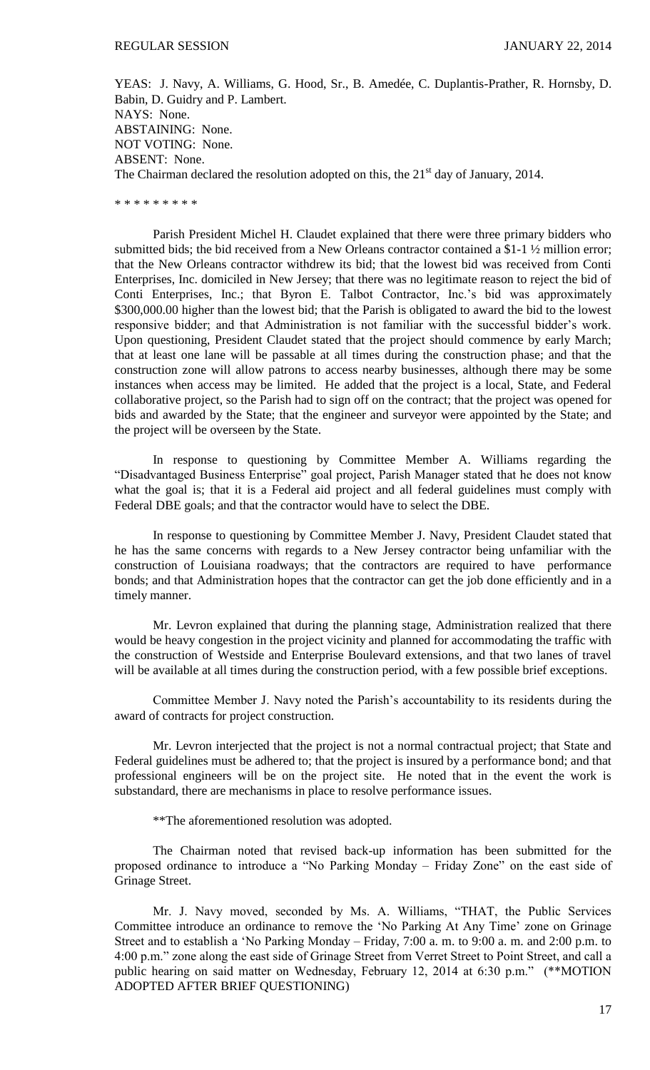YEAS: J. Navy, A. Williams, G. Hood, Sr., B. Amedée, C. Duplantis-Prather, R. Hornsby, D. Babin, D. Guidry and P. Lambert. NAYS: None. ABSTAINING: None. NOT VOTING: None. ABSENT: None. The Chairman declared the resolution adopted on this, the  $21<sup>st</sup>$  day of January, 2014.

\* \* \* \* \* \* \* \* \*

Parish President Michel H. Claudet explained that there were three primary bidders who submitted bids; the bid received from a New Orleans contractor contained a \$1-1 ½ million error; that the New Orleans contractor withdrew its bid; that the lowest bid was received from Conti Enterprises, Inc. domiciled in New Jersey; that there was no legitimate reason to reject the bid of Conti Enterprises, Inc.; that Byron E. Talbot Contractor, Inc.'s bid was approximately \$300,000.00 higher than the lowest bid; that the Parish is obligated to award the bid to the lowest responsive bidder; and that Administration is not familiar with the successful bidder's work. Upon questioning, President Claudet stated that the project should commence by early March; that at least one lane will be passable at all times during the construction phase; and that the construction zone will allow patrons to access nearby businesses, although there may be some instances when access may be limited. He added that the project is a local, State, and Federal collaborative project, so the Parish had to sign off on the contract; that the project was opened for bids and awarded by the State; that the engineer and surveyor were appointed by the State; and the project will be overseen by the State.

In response to questioning by Committee Member A. Williams regarding the "Disadvantaged Business Enterprise" goal project, Parish Manager stated that he does not know what the goal is; that it is a Federal aid project and all federal guidelines must comply with Federal DBE goals; and that the contractor would have to select the DBE.

In response to questioning by Committee Member J. Navy, President Claudet stated that he has the same concerns with regards to a New Jersey contractor being unfamiliar with the construction of Louisiana roadways; that the contractors are required to have performance bonds; and that Administration hopes that the contractor can get the job done efficiently and in a timely manner.

Mr. Levron explained that during the planning stage, Administration realized that there would be heavy congestion in the project vicinity and planned for accommodating the traffic with the construction of Westside and Enterprise Boulevard extensions, and that two lanes of travel will be available at all times during the construction period, with a few possible brief exceptions.

Committee Member J. Navy noted the Parish's accountability to its residents during the award of contracts for project construction.

Mr. Levron interjected that the project is not a normal contractual project; that State and Federal guidelines must be adhered to; that the project is insured by a performance bond; and that professional engineers will be on the project site. He noted that in the event the work is substandard, there are mechanisms in place to resolve performance issues.

\*\*The aforementioned resolution was adopted.

The Chairman noted that revised back-up information has been submitted for the proposed ordinance to introduce a "No Parking Monday – Friday Zone" on the east side of Grinage Street.

Mr. J. Navy moved, seconded by Ms. A. Williams, "THAT, the Public Services Committee introduce an ordinance to remove the 'No Parking At Any Time' zone on Grinage Street and to establish a 'No Parking Monday – Friday, 7:00 a. m. to 9:00 a. m. and 2:00 p.m. to 4:00 p.m." zone along the east side of Grinage Street from Verret Street to Point Street, and call a public hearing on said matter on Wednesday, February 12, 2014 at 6:30 p.m." (\*\*MOTION ADOPTED AFTER BRIEF QUESTIONING)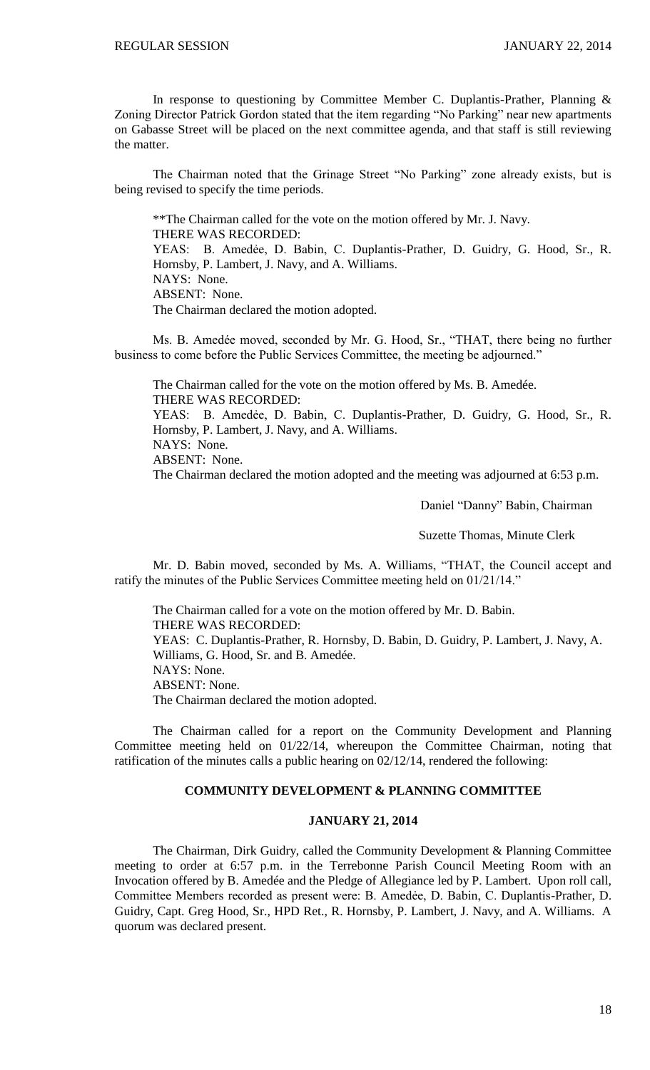In response to questioning by Committee Member C. Duplantis-Prather, Planning & Zoning Director Patrick Gordon stated that the item regarding "No Parking" near new apartments on Gabasse Street will be placed on the next committee agenda, and that staff is still reviewing the matter.

The Chairman noted that the Grinage Street "No Parking" zone already exists, but is being revised to specify the time periods.

\*\*The Chairman called for the vote on the motion offered by Mr. J. Navy. THERE WAS RECORDED: YEAS: B. Amedẻe, D. Babin, C. Duplantis-Prather, D. Guidry, G. Hood, Sr., R. Hornsby, P. Lambert, J. Navy, and A. Williams. NAYS: None. ABSENT: None. The Chairman declared the motion adopted.

Ms. B. Amedée moved, seconded by Mr. G. Hood, Sr., "THAT, there being no further business to come before the Public Services Committee, the meeting be adjourned."

The Chairman called for the vote on the motion offered by Ms. B. Amedée. THERE WAS RECORDED: YEAS: B. Amedẻe, D. Babin, C. Duplantis-Prather, D. Guidry, G. Hood, Sr., R. Hornsby, P. Lambert, J. Navy, and A. Williams. NAYS: None. ABSENT: None. The Chairman declared the motion adopted and the meeting was adjourned at 6:53 p.m.

Daniel "Danny" Babin, Chairman

Suzette Thomas, Minute Clerk

Mr. D. Babin moved, seconded by Ms. A. Williams, "THAT, the Council accept and ratify the minutes of the Public Services Committee meeting held on 01/21/14."

The Chairman called for a vote on the motion offered by Mr. D. Babin. THERE WAS RECORDED: YEAS: C. Duplantis-Prather, R. Hornsby, D. Babin, D. Guidry, P. Lambert, J. Navy, A. Williams, G. Hood, Sr. and B. Amedée. NAYS: None. ABSENT: None. The Chairman declared the motion adopted.

The Chairman called for a report on the Community Development and Planning Committee meeting held on 01/22/14, whereupon the Committee Chairman, noting that ratification of the minutes calls a public hearing on 02/12/14, rendered the following:

## **COMMUNITY DEVELOPMENT & PLANNING COMMITTEE**

## **JANUARY 21, 2014**

The Chairman, Dirk Guidry, called the Community Development & Planning Committee meeting to order at 6:57 p.m. in the Terrebonne Parish Council Meeting Room with an Invocation offered by B. Amedée and the Pledge of Allegiance led by P. Lambert. Upon roll call, Committee Members recorded as present were: B. Amedẻe, D. Babin, C. Duplantis-Prather, D. Guidry, Capt. Greg Hood, Sr., HPD Ret., R. Hornsby, P. Lambert, J. Navy, and A. Williams. A quorum was declared present.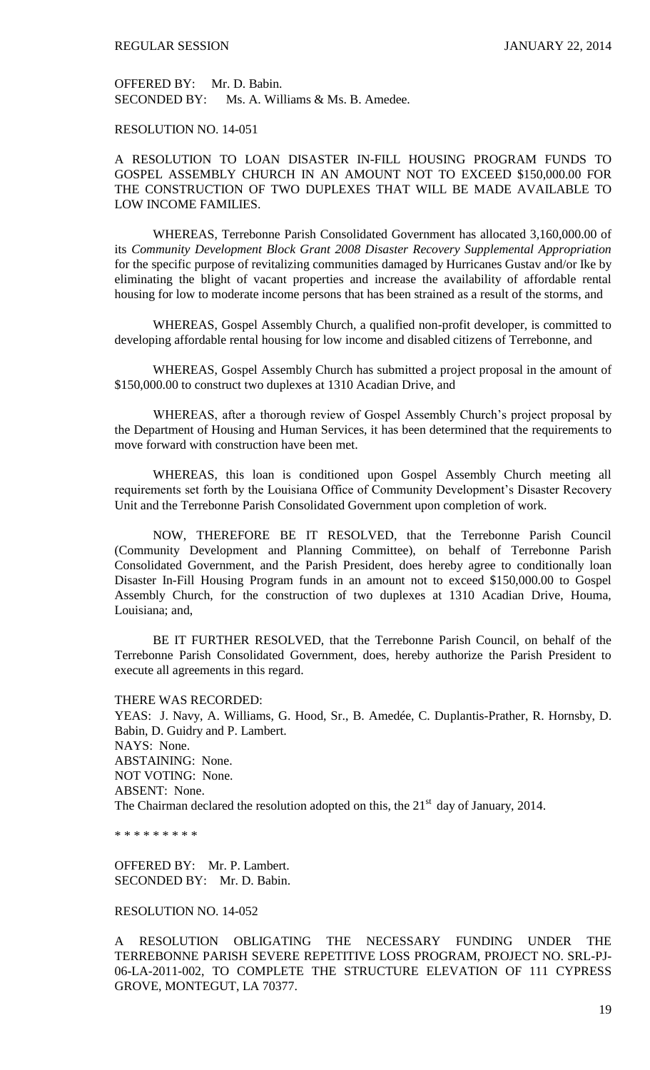OFFERED BY: Mr. D. Babin. SECONDED BY: Ms. A. Williams & Ms. B. Amedee.

# RESOLUTION NO. 14-051

A RESOLUTION TO LOAN DISASTER IN-FILL HOUSING PROGRAM FUNDS TO GOSPEL ASSEMBLY CHURCH IN AN AMOUNT NOT TO EXCEED \$150,000.00 FOR THE CONSTRUCTION OF TWO DUPLEXES THAT WILL BE MADE AVAILABLE TO LOW INCOME FAMILIES.

WHEREAS, Terrebonne Parish Consolidated Government has allocated 3,160,000.00 of its *Community Development Block Grant 2008 Disaster Recovery Supplemental Appropriation* for the specific purpose of revitalizing communities damaged by Hurricanes Gustav and/or Ike by eliminating the blight of vacant properties and increase the availability of affordable rental housing for low to moderate income persons that has been strained as a result of the storms, and

WHEREAS, Gospel Assembly Church, a qualified non-profit developer, is committed to developing affordable rental housing for low income and disabled citizens of Terrebonne, and

WHEREAS, Gospel Assembly Church has submitted a project proposal in the amount of \$150,000.00 to construct two duplexes at 1310 Acadian Drive, and

WHEREAS, after a thorough review of Gospel Assembly Church's project proposal by the Department of Housing and Human Services, it has been determined that the requirements to move forward with construction have been met.

WHEREAS, this loan is conditioned upon Gospel Assembly Church meeting all requirements set forth by the Louisiana Office of Community Development's Disaster Recovery Unit and the Terrebonne Parish Consolidated Government upon completion of work.

NOW, THEREFORE BE IT RESOLVED, that the Terrebonne Parish Council (Community Development and Planning Committee), on behalf of Terrebonne Parish Consolidated Government, and the Parish President, does hereby agree to conditionally loan Disaster In-Fill Housing Program funds in an amount not to exceed \$150,000.00 to Gospel Assembly Church, for the construction of two duplexes at 1310 Acadian Drive, Houma, Louisiana; and,

BE IT FURTHER RESOLVED, that the Terrebonne Parish Council, on behalf of the Terrebonne Parish Consolidated Government, does, hereby authorize the Parish President to execute all agreements in this regard.

THERE WAS RECORDED:

YEAS: J. Navy, A. Williams, G. Hood, Sr., B. Amedée, C. Duplantis-Prather, R. Hornsby, D. Babin, D. Guidry and P. Lambert. NAYS: None. ABSTAINING: None. NOT VOTING: None. ABSENT: None. The Chairman declared the resolution adopted on this, the  $21<sup>st</sup>$  day of January, 2014.

\* \* \* \* \* \* \* \* \*

OFFERED BY: Mr. P. Lambert. SECONDED BY: Mr. D. Babin.

## RESOLUTION NO. 14-052

A RESOLUTION OBLIGATING THE NECESSARY FUNDING UNDER THE TERREBONNE PARISH SEVERE REPETITIVE LOSS PROGRAM, PROJECT NO. SRL-PJ-06-LA-2011-002, TO COMPLETE THE STRUCTURE ELEVATION OF 111 CYPRESS GROVE, MONTEGUT, LA 70377.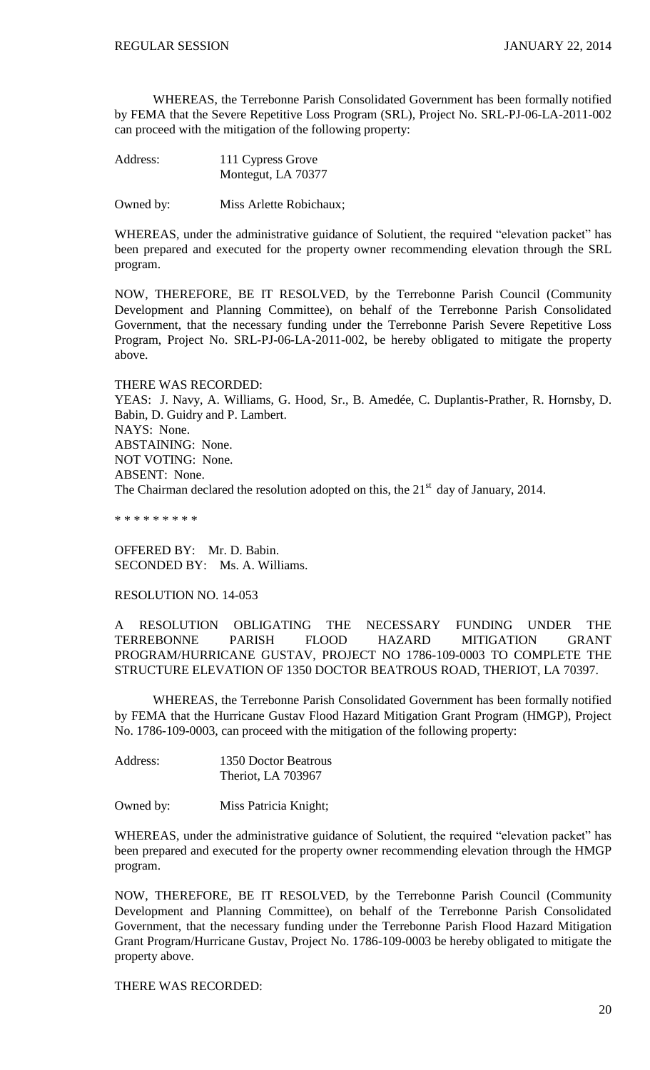WHEREAS, the Terrebonne Parish Consolidated Government has been formally notified by FEMA that the Severe Repetitive Loss Program (SRL), Project No. SRL-PJ-06-LA-2011-002 can proceed with the mitigation of the following property:

Address: 111 Cypress Grove Montegut, LA 70377

Owned by: Miss Arlette Robichaux;

WHEREAS, under the administrative guidance of Solutient, the required "elevation packet" has been prepared and executed for the property owner recommending elevation through the SRL program.

NOW, THEREFORE, BE IT RESOLVED, by the Terrebonne Parish Council (Community Development and Planning Committee), on behalf of the Terrebonne Parish Consolidated Government, that the necessary funding under the Terrebonne Parish Severe Repetitive Loss Program, Project No. SRL-PJ-06-LA-2011-002, be hereby obligated to mitigate the property above.

THERE WAS RECORDED: YEAS: J. Navy, A. Williams, G. Hood, Sr., B. Amedée, C. Duplantis-Prather, R. Hornsby, D. Babin, D. Guidry and P. Lambert. NAYS: None. ABSTAINING: None. NOT VOTING: None. ABSENT: None. The Chairman declared the resolution adopted on this, the  $21<sup>st</sup>$  day of January, 2014.

\* \* \* \* \* \* \* \* \*

OFFERED BY: Mr. D. Babin. SECONDED BY: Ms. A. Williams.

#### RESOLUTION NO. 14-053

A RESOLUTION OBLIGATING THE NECESSARY FUNDING UNDER THE TERREBONNE PARISH FLOOD HAZARD MITIGATION GRANT PROGRAM/HURRICANE GUSTAV, PROJECT NO 1786-109-0003 TO COMPLETE THE STRUCTURE ELEVATION OF 1350 DOCTOR BEATROUS ROAD, THERIOT, LA 70397.

WHEREAS, the Terrebonne Parish Consolidated Government has been formally notified by FEMA that the Hurricane Gustav Flood Hazard Mitigation Grant Program (HMGP), Project No. 1786-109-0003, can proceed with the mitigation of the following property:

Address: 1350 Doctor Beatrous Theriot, LA 703967

Owned by: Miss Patricia Knight;

WHEREAS, under the administrative guidance of Solutient, the required "elevation packet" has been prepared and executed for the property owner recommending elevation through the HMGP program.

NOW, THEREFORE, BE IT RESOLVED, by the Terrebonne Parish Council (Community Development and Planning Committee), on behalf of the Terrebonne Parish Consolidated Government, that the necessary funding under the Terrebonne Parish Flood Hazard Mitigation Grant Program/Hurricane Gustav, Project No. 1786-109-0003 be hereby obligated to mitigate the property above.

THERE WAS RECORDED: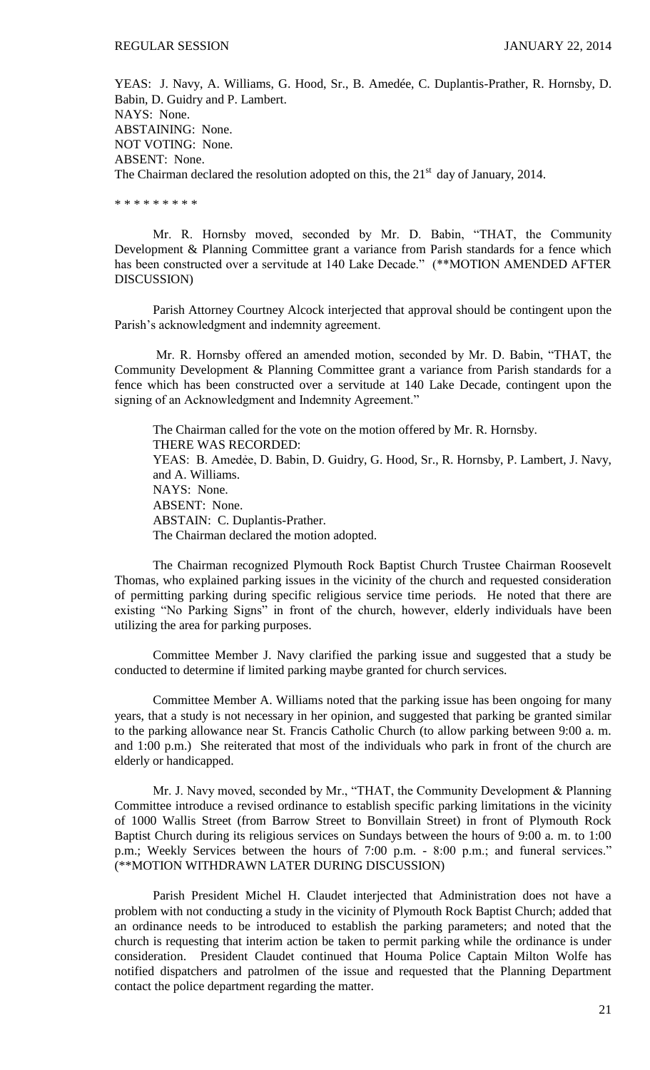YEAS: J. Navy, A. Williams, G. Hood, Sr., B. Amedée, C. Duplantis-Prather, R. Hornsby, D. Babin, D. Guidry and P. Lambert. NAYS: None. ABSTAINING: None. NOT VOTING: None. ABSENT: None.

The Chairman declared the resolution adopted on this, the  $21<sup>st</sup>$  day of January, 2014.

\* \* \* \* \* \* \* \* \*

Mr. R. Hornsby moved, seconded by Mr. D. Babin, "THAT, the Community Development & Planning Committee grant a variance from Parish standards for a fence which has been constructed over a servitude at 140 Lake Decade." (\*\*MOTION AMENDED AFTER DISCUSSION)

Parish Attorney Courtney Alcock interjected that approval should be contingent upon the Parish's acknowledgment and indemnity agreement.

Mr. R. Hornsby offered an amended motion, seconded by Mr. D. Babin, "THAT, the Community Development & Planning Committee grant a variance from Parish standards for a fence which has been constructed over a servitude at 140 Lake Decade, contingent upon the signing of an Acknowledgment and Indemnity Agreement."

The Chairman called for the vote on the motion offered by Mr. R. Hornsby. THERE WAS RECORDED: YEAS: B. Amedẻe, D. Babin, D. Guidry, G. Hood, Sr., R. Hornsby, P. Lambert, J. Navy, and A. Williams. NAYS: None. ABSENT: None. ABSTAIN: C. Duplantis-Prather. The Chairman declared the motion adopted.

The Chairman recognized Plymouth Rock Baptist Church Trustee Chairman Roosevelt Thomas, who explained parking issues in the vicinity of the church and requested consideration of permitting parking during specific religious service time periods. He noted that there are existing "No Parking Signs" in front of the church, however, elderly individuals have been utilizing the area for parking purposes.

Committee Member J. Navy clarified the parking issue and suggested that a study be conducted to determine if limited parking maybe granted for church services.

Committee Member A. Williams noted that the parking issue has been ongoing for many years, that a study is not necessary in her opinion, and suggested that parking be granted similar to the parking allowance near St. Francis Catholic Church (to allow parking between 9:00 a. m. and 1:00 p.m.) She reiterated that most of the individuals who park in front of the church are elderly or handicapped.

Mr. J. Navy moved, seconded by Mr., "THAT, the Community Development & Planning Committee introduce a revised ordinance to establish specific parking limitations in the vicinity of 1000 Wallis Street (from Barrow Street to Bonvillain Street) in front of Plymouth Rock Baptist Church during its religious services on Sundays between the hours of 9:00 a. m. to 1:00 p.m.; Weekly Services between the hours of 7:00 p.m. - 8:00 p.m.; and funeral services." (\*\*MOTION WITHDRAWN LATER DURING DISCUSSION)

Parish President Michel H. Claudet interjected that Administration does not have a problem with not conducting a study in the vicinity of Plymouth Rock Baptist Church; added that an ordinance needs to be introduced to establish the parking parameters; and noted that the church is requesting that interim action be taken to permit parking while the ordinance is under consideration. President Claudet continued that Houma Police Captain Milton Wolfe has notified dispatchers and patrolmen of the issue and requested that the Planning Department contact the police department regarding the matter.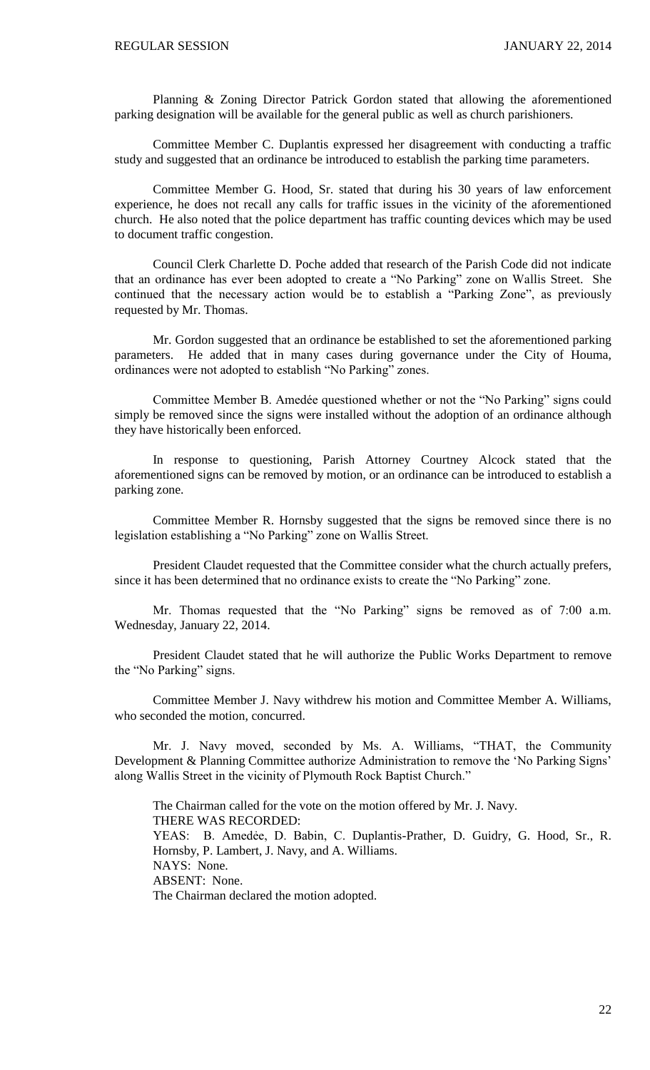Planning & Zoning Director Patrick Gordon stated that allowing the aforementioned parking designation will be available for the general public as well as church parishioners.

Committee Member C. Duplantis expressed her disagreement with conducting a traffic study and suggested that an ordinance be introduced to establish the parking time parameters.

Committee Member G. Hood, Sr. stated that during his 30 years of law enforcement experience, he does not recall any calls for traffic issues in the vicinity of the aforementioned church. He also noted that the police department has traffic counting devices which may be used to document traffic congestion.

Council Clerk Charlette D. Poche added that research of the Parish Code did not indicate that an ordinance has ever been adopted to create a "No Parking" zone on Wallis Street. She continued that the necessary action would be to establish a "Parking Zone", as previously requested by Mr. Thomas.

Mr. Gordon suggested that an ordinance be established to set the aforementioned parking parameters. He added that in many cases during governance under the City of Houma, ordinances were not adopted to establish "No Parking" zones.

Committee Member B. Amedée questioned whether or not the "No Parking" signs could simply be removed since the signs were installed without the adoption of an ordinance although they have historically been enforced.

In response to questioning, Parish Attorney Courtney Alcock stated that the aforementioned signs can be removed by motion, or an ordinance can be introduced to establish a parking zone.

Committee Member R. Hornsby suggested that the signs be removed since there is no legislation establishing a "No Parking" zone on Wallis Street.

President Claudet requested that the Committee consider what the church actually prefers, since it has been determined that no ordinance exists to create the "No Parking" zone.

Mr. Thomas requested that the "No Parking" signs be removed as of 7:00 a.m. Wednesday, January 22, 2014.

President Claudet stated that he will authorize the Public Works Department to remove the "No Parking" signs.

Committee Member J. Navy withdrew his motion and Committee Member A. Williams, who seconded the motion, concurred.

Mr. J. Navy moved, seconded by Ms. A. Williams, "THAT, the Community Development & Planning Committee authorize Administration to remove the 'No Parking Signs' along Wallis Street in the vicinity of Plymouth Rock Baptist Church."

The Chairman called for the vote on the motion offered by Mr. J. Navy. THERE WAS RECORDED: YEAS: B. Amedẻe, D. Babin, C. Duplantis-Prather, D. Guidry, G. Hood, Sr., R. Hornsby, P. Lambert, J. Navy, and A. Williams. NAYS: None. ABSENT: None. The Chairman declared the motion adopted.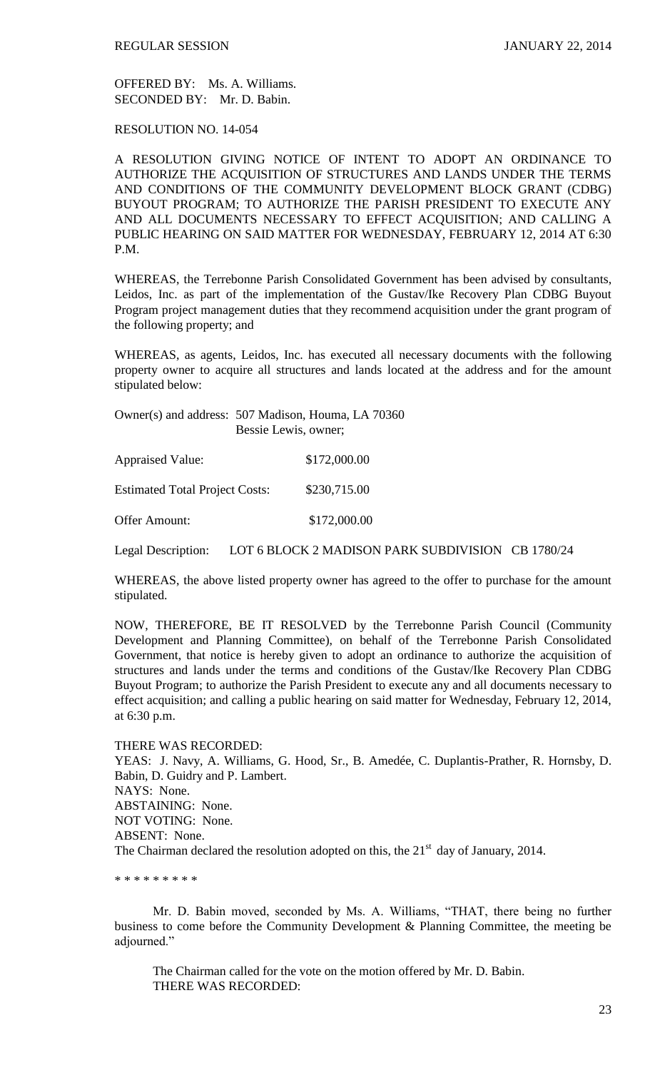OFFERED BY: Ms. A. Williams. SECONDED BY: Mr. D. Babin.

RESOLUTION NO. 14-054

A RESOLUTION GIVING NOTICE OF INTENT TO ADOPT AN ORDINANCE TO AUTHORIZE THE ACQUISITION OF STRUCTURES AND LANDS UNDER THE TERMS AND CONDITIONS OF THE COMMUNITY DEVELOPMENT BLOCK GRANT (CDBG) BUYOUT PROGRAM; TO AUTHORIZE THE PARISH PRESIDENT TO EXECUTE ANY AND ALL DOCUMENTS NECESSARY TO EFFECT ACQUISITION; AND CALLING A PUBLIC HEARING ON SAID MATTER FOR WEDNESDAY, FEBRUARY 12, 2014 AT 6:30 P.M.

WHEREAS, the Terrebonne Parish Consolidated Government has been advised by consultants, Leidos, Inc. as part of the implementation of the Gustav/Ike Recovery Plan CDBG Buyout Program project management duties that they recommend acquisition under the grant program of the following property; and

WHEREAS, as agents, Leidos, Inc. has executed all necessary documents with the following property owner to acquire all structures and lands located at the address and for the amount stipulated below:

Owner(s) and address: 507 Madison, Houma, LA 70360 Bessie Lewis, owner;

Appraised Value: \$172,000.00 Estimated Total Project Costs: \$230,715.00 Offer Amount: \$172,000.00

Legal Description: LOT 6 BLOCK 2 MADISON PARK SUBDIVISION CB 1780/24

WHEREAS, the above listed property owner has agreed to the offer to purchase for the amount stipulated.

NOW, THEREFORE, BE IT RESOLVED by the Terrebonne Parish Council (Community Development and Planning Committee), on behalf of the Terrebonne Parish Consolidated Government, that notice is hereby given to adopt an ordinance to authorize the acquisition of structures and lands under the terms and conditions of the Gustav/Ike Recovery Plan CDBG Buyout Program; to authorize the Parish President to execute any and all documents necessary to effect acquisition; and calling a public hearing on said matter for Wednesday, February 12, 2014, at 6:30 p.m.

THERE WAS RECORDED:

YEAS: J. Navy, A. Williams, G. Hood, Sr., B. Amedée, C. Duplantis-Prather, R. Hornsby, D. Babin, D. Guidry and P. Lambert. NAYS: None. ABSTAINING: None. NOT VOTING: None. ABSENT: None. The Chairman declared the resolution adopted on this, the  $21<sup>st</sup>$  day of January, 2014.

\* \* \* \* \* \* \* \* \*

Mr. D. Babin moved, seconded by Ms. A. Williams, "THAT, there being no further business to come before the Community Development & Planning Committee, the meeting be adjourned."

The Chairman called for the vote on the motion offered by Mr. D. Babin. THERE WAS RECORDED: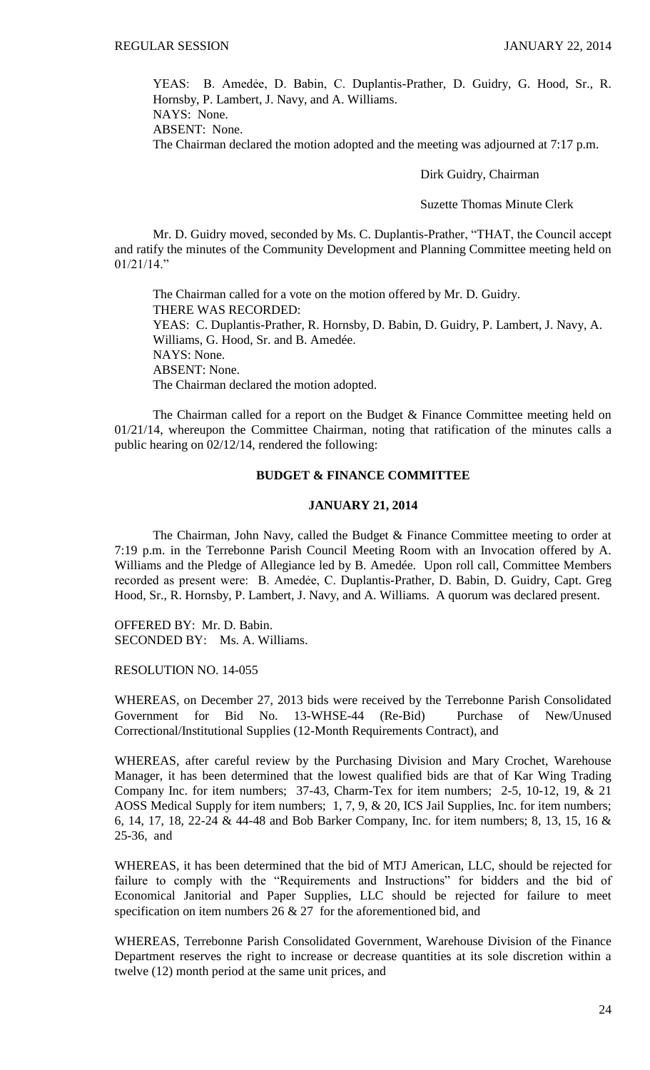YEAS: B. Amedẻe, D. Babin, C. Duplantis-Prather, D. Guidry, G. Hood, Sr., R. Hornsby, P. Lambert, J. Navy, and A. Williams.

NAYS: None. ABSENT: None.

The Chairman declared the motion adopted and the meeting was adjourned at 7:17 p.m.

Dirk Guidry, Chairman

Suzette Thomas Minute Clerk

Mr. D. Guidry moved, seconded by Ms. C. Duplantis-Prather, "THAT, the Council accept and ratify the minutes of the Community Development and Planning Committee meeting held on 01/21/14."

The Chairman called for a vote on the motion offered by Mr. D. Guidry. THERE WAS RECORDED: YEAS: C. Duplantis-Prather, R. Hornsby, D. Babin, D. Guidry, P. Lambert, J. Navy, A. Williams, G. Hood, Sr. and B. Amedée. NAYS: None. ABSENT: None. The Chairman declared the motion adopted.

The Chairman called for a report on the Budget & Finance Committee meeting held on 01/21/14, whereupon the Committee Chairman, noting that ratification of the minutes calls a public hearing on 02/12/14, rendered the following:

## **BUDGET & FINANCE COMMITTEE**

#### **JANUARY 21, 2014**

The Chairman, John Navy, called the Budget & Finance Committee meeting to order at 7:19 p.m. in the Terrebonne Parish Council Meeting Room with an Invocation offered by A. Williams and the Pledge of Allegiance led by B. Amedée. Upon roll call, Committee Members recorded as present were: B. Amedẻe, C. Duplantis-Prather, D. Babin, D. Guidry, Capt. Greg Hood, Sr., R. Hornsby, P. Lambert, J. Navy, and A. Williams. A quorum was declared present.

OFFERED BY: Mr. D. Babin. SECONDED BY: Ms. A. Williams.

RESOLUTION NO. 14-055

WHEREAS, on December 27, 2013 bids were received by the Terrebonne Parish Consolidated Government for Bid No. 13-WHSE-44 (Re-Bid) Purchase of New/Unused Correctional/Institutional Supplies (12-Month Requirements Contract), and

WHEREAS, after careful review by the Purchasing Division and Mary Crochet, Warehouse Manager, it has been determined that the lowest qualified bids are that of Kar Wing Trading Company Inc. for item numbers; 37-43, Charm-Tex for item numbers; 2-5, 10-12, 19, & 21 AOSS Medical Supply for item numbers; 1, 7, 9, & 20, ICS Jail Supplies, Inc. for item numbers; 6, 14, 17, 18, 22-24 & 44-48 and Bob Barker Company, Inc. for item numbers; 8, 13, 15, 16 & 25-36, and

WHEREAS, it has been determined that the bid of MTJ American, LLC, should be rejected for failure to comply with the "Requirements and Instructions" for bidders and the bid of Economical Janitorial and Paper Supplies, LLC should be rejected for failure to meet specification on item numbers  $26 \& 27$  for the aforementioned bid, and

WHEREAS, Terrebonne Parish Consolidated Government, Warehouse Division of the Finance Department reserves the right to increase or decrease quantities at its sole discretion within a twelve (12) month period at the same unit prices, and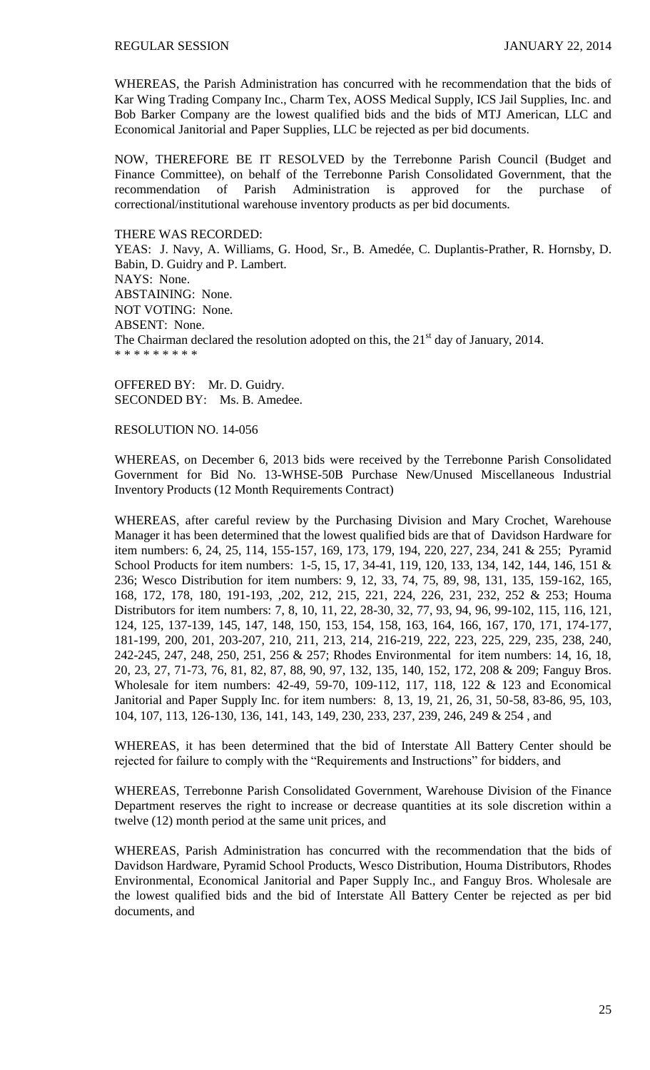WHEREAS, the Parish Administration has concurred with he recommendation that the bids of Kar Wing Trading Company Inc., Charm Tex, AOSS Medical Supply, ICS Jail Supplies, Inc. and Bob Barker Company are the lowest qualified bids and the bids of MTJ American, LLC and Economical Janitorial and Paper Supplies, LLC be rejected as per bid documents.

NOW, THEREFORE BE IT RESOLVED by the Terrebonne Parish Council (Budget and Finance Committee), on behalf of the Terrebonne Parish Consolidated Government, that the recommendation of Parish Administration is approved for the purchase of correctional/institutional warehouse inventory products as per bid documents.

#### THERE WAS RECORDED:

YEAS: J. Navy, A. Williams, G. Hood, Sr., B. Amedée, C. Duplantis-Prather, R. Hornsby, D. Babin, D. Guidry and P. Lambert. NAYS: None. ABSTAINING: None. NOT VOTING: None. ABSENT: None. The Chairman declared the resolution adopted on this, the  $21<sup>st</sup>$  day of January, 2014. \* \* \* \* \* \* \* \* \*

OFFERED BY: Mr. D. Guidry. SECONDED BY: Ms. B. Amedee.

## RESOLUTION NO. 14-056

WHEREAS, on December 6, 2013 bids were received by the Terrebonne Parish Consolidated Government for Bid No. 13-WHSE-50B Purchase New/Unused Miscellaneous Industrial Inventory Products (12 Month Requirements Contract)

WHEREAS, after careful review by the Purchasing Division and Mary Crochet, Warehouse Manager it has been determined that the lowest qualified bids are that of Davidson Hardware for item numbers: 6, 24, 25, 114, 155-157, 169, 173, 179, 194, 220, 227, 234, 241 & 255; Pyramid School Products for item numbers: 1-5, 15, 17, 34-41, 119, 120, 133, 134, 142, 144, 146, 151 & 236; Wesco Distribution for item numbers: 9, 12, 33, 74, 75, 89, 98, 131, 135, 159-162, 165, 168, 172, 178, 180, 191-193, ,202, 212, 215, 221, 224, 226, 231, 232, 252 & 253; Houma Distributors for item numbers: 7, 8, 10, 11, 22, 28-30, 32, 77, 93, 94, 96, 99-102, 115, 116, 121, 124, 125, 137-139, 145, 147, 148, 150, 153, 154, 158, 163, 164, 166, 167, 170, 171, 174-177, 181-199, 200, 201, 203-207, 210, 211, 213, 214, 216-219, 222, 223, 225, 229, 235, 238, 240, 242-245, 247, 248, 250, 251, 256 & 257; Rhodes Environmental for item numbers: 14, 16, 18, 20, 23, 27, 71-73, 76, 81, 82, 87, 88, 90, 97, 132, 135, 140, 152, 172, 208 & 209; Fanguy Bros. Wholesale for item numbers: 42-49, 59-70, 109-112, 117, 118, 122 & 123 and Economical Janitorial and Paper Supply Inc. for item numbers: 8, 13, 19, 21, 26, 31, 50-58, 83-86, 95, 103, 104, 107, 113, 126-130, 136, 141, 143, 149, 230, 233, 237, 239, 246, 249 & 254 , and

WHEREAS, it has been determined that the bid of Interstate All Battery Center should be rejected for failure to comply with the "Requirements and Instructions" for bidders, and

WHEREAS, Terrebonne Parish Consolidated Government, Warehouse Division of the Finance Department reserves the right to increase or decrease quantities at its sole discretion within a twelve (12) month period at the same unit prices, and

WHEREAS, Parish Administration has concurred with the recommendation that the bids of Davidson Hardware, Pyramid School Products, Wesco Distribution, Houma Distributors, Rhodes Environmental, Economical Janitorial and Paper Supply Inc., and Fanguy Bros. Wholesale are the lowest qualified bids and the bid of Interstate All Battery Center be rejected as per bid documents, and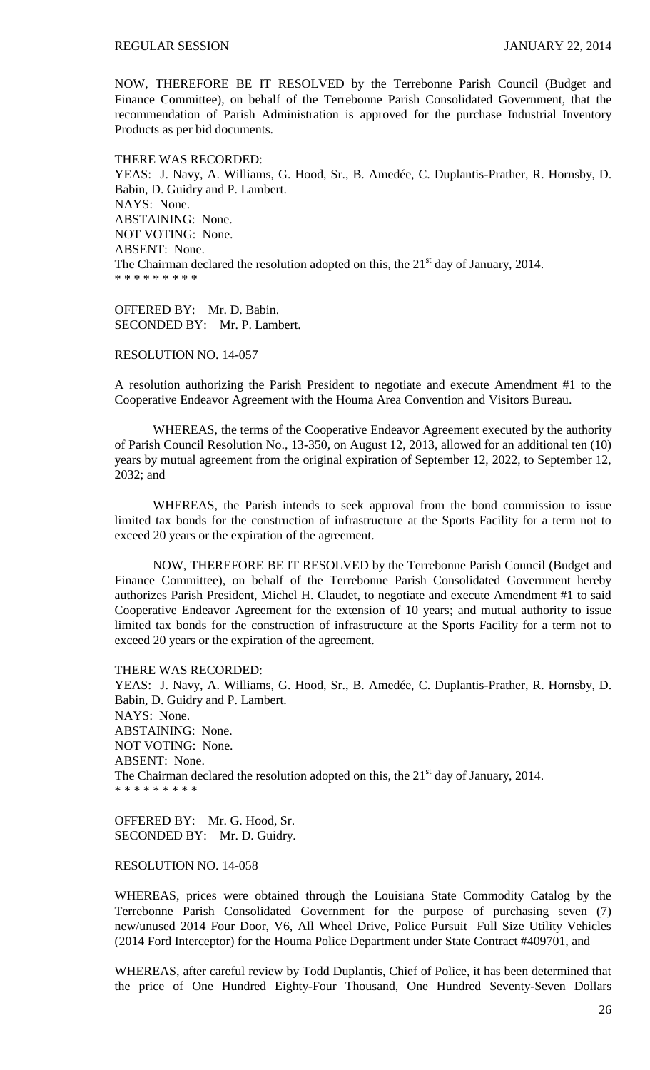NOW, THEREFORE BE IT RESOLVED by the Terrebonne Parish Council (Budget and Finance Committee), on behalf of the Terrebonne Parish Consolidated Government, that the recommendation of Parish Administration is approved for the purchase Industrial Inventory Products as per bid documents.

THERE WAS RECORDED: YEAS: J. Navy, A. Williams, G. Hood, Sr., B. Amedée, C. Duplantis-Prather, R. Hornsby, D. Babin, D. Guidry and P. Lambert. NAYS: None. ABSTAINING: None. NOT VOTING: None. ABSENT: None. The Chairman declared the resolution adopted on this, the  $21<sup>st</sup>$  day of January, 2014. \* \* \* \* \* \* \* \* \*

OFFERED BY: Mr. D. Babin. SECONDED BY: Mr. P. Lambert.

RESOLUTION NO. 14-057

A resolution authorizing the Parish President to negotiate and execute Amendment #1 to the Cooperative Endeavor Agreement with the Houma Area Convention and Visitors Bureau.

WHEREAS, the terms of the Cooperative Endeavor Agreement executed by the authority of Parish Council Resolution No., 13-350, on August 12, 2013, allowed for an additional ten (10) years by mutual agreement from the original expiration of September 12, 2022, to September 12, 2032; and

WHEREAS, the Parish intends to seek approval from the bond commission to issue limited tax bonds for the construction of infrastructure at the Sports Facility for a term not to exceed 20 years or the expiration of the agreement.

NOW, THEREFORE BE IT RESOLVED by the Terrebonne Parish Council (Budget and Finance Committee), on behalf of the Terrebonne Parish Consolidated Government hereby authorizes Parish President, Michel H. Claudet, to negotiate and execute Amendment #1 to said Cooperative Endeavor Agreement for the extension of 10 years; and mutual authority to issue limited tax bonds for the construction of infrastructure at the Sports Facility for a term not to exceed 20 years or the expiration of the agreement.

THERE WAS RECORDED: YEAS: J. Navy, A. Williams, G. Hood, Sr., B. Amedée, C. Duplantis-Prather, R. Hornsby, D. Babin, D. Guidry and P. Lambert. NAYS: None. ABSTAINING: None. NOT VOTING: None. ABSENT: None. The Chairman declared the resolution adopted on this, the 21<sup>st</sup> day of January, 2014. \* \* \* \* \* \* \* \* \*

OFFERED BY: Mr. G. Hood, Sr. SECONDED BY: Mr. D. Guidry.

# RESOLUTION NO. 14-058

WHEREAS, prices were obtained through the Louisiana State Commodity Catalog by the Terrebonne Parish Consolidated Government for the purpose of purchasing seven (7) new/unused 2014 Four Door, V6, All Wheel Drive, Police Pursuit Full Size Utility Vehicles (2014 Ford Interceptor) for the Houma Police Department under State Contract #409701, and

WHEREAS, after careful review by Todd Duplantis, Chief of Police, it has been determined that the price of One Hundred Eighty-Four Thousand, One Hundred Seventy-Seven Dollars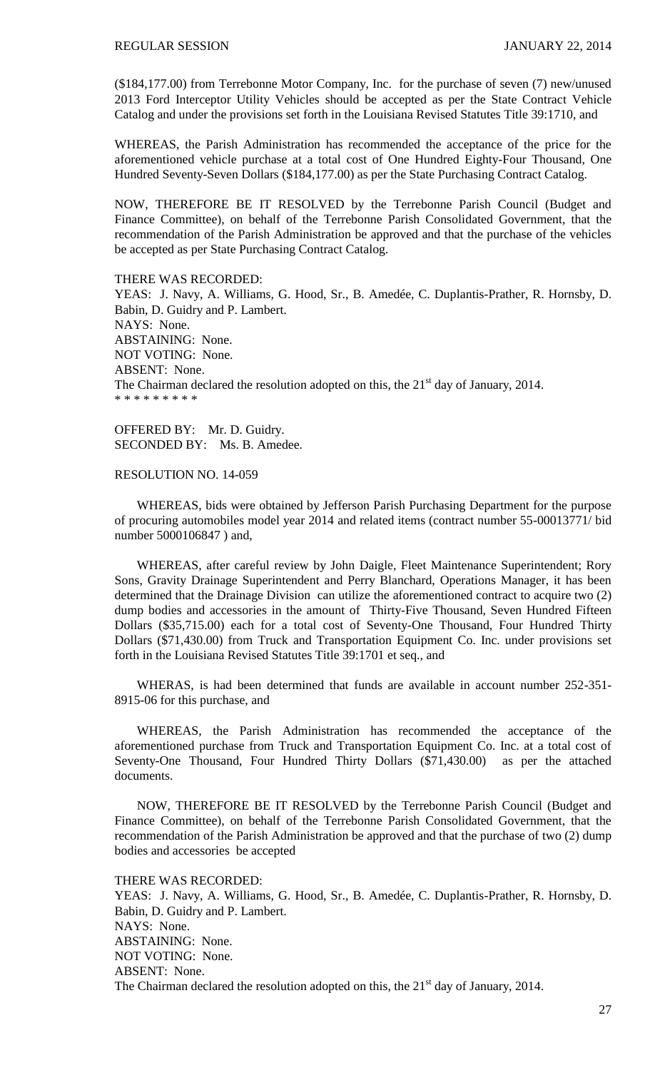(\$184,177.00) from Terrebonne Motor Company, Inc. for the purchase of seven (7) new/unused 2013 Ford Interceptor Utility Vehicles should be accepted as per the State Contract Vehicle Catalog and under the provisions set forth in the Louisiana Revised Statutes Title 39:1710, and

WHEREAS, the Parish Administration has recommended the acceptance of the price for the aforementioned vehicle purchase at a total cost of One Hundred Eighty-Four Thousand, One Hundred Seventy-Seven Dollars (\$184,177.00) as per the State Purchasing Contract Catalog.

NOW, THEREFORE BE IT RESOLVED by the Terrebonne Parish Council (Budget and Finance Committee), on behalf of the Terrebonne Parish Consolidated Government, that the recommendation of the Parish Administration be approved and that the purchase of the vehicles be accepted as per State Purchasing Contract Catalog.

THERE WAS RECORDED: YEAS: J. Navy, A. Williams, G. Hood, Sr., B. Amedée, C. Duplantis-Prather, R. Hornsby, D. Babin, D. Guidry and P. Lambert. NAYS: None. ABSTAINING: None. NOT VOTING: None. ABSENT: None. The Chairman declared the resolution adopted on this, the  $21<sup>st</sup>$  day of January, 2014. \* \* \* \* \* \* \* \* \*

OFFERED BY: Mr. D. Guidry. SECONDED BY: Ms. B. Amedee.

#### RESOLUTION NO. 14-059

 WHEREAS, bids were obtained by Jefferson Parish Purchasing Department for the purpose of procuring automobiles model year 2014 and related items (contract number 55-00013771/ bid number 5000106847 ) and,

 WHEREAS, after careful review by John Daigle, Fleet Maintenance Superintendent; Rory Sons, Gravity Drainage Superintendent and Perry Blanchard, Operations Manager, it has been determined that the Drainage Division can utilize the aforementioned contract to acquire two (2) dump bodies and accessories in the amount of Thirty-Five Thousand, Seven Hundred Fifteen Dollars (\$35,715.00) each for a total cost of Seventy-One Thousand, Four Hundred Thirty Dollars (\$71,430.00) from Truck and Transportation Equipment Co. Inc. under provisions set forth in the Louisiana Revised Statutes Title 39:1701 et seq., and

WHERAS, is had been determined that funds are available in account number 252-351-8915-06 for this purchase, and

 WHEREAS, the Parish Administration has recommended the acceptance of the aforementioned purchase from Truck and Transportation Equipment Co. Inc. at a total cost of Seventy-One Thousand, Four Hundred Thirty Dollars (\$71,430.00) as per the attached documents.

 NOW, THEREFORE BE IT RESOLVED by the Terrebonne Parish Council (Budget and Finance Committee), on behalf of the Terrebonne Parish Consolidated Government, that the recommendation of the Parish Administration be approved and that the purchase of two (2) dump bodies and accessories be accepted

THERE WAS RECORDED:

YEAS: J. Navy, A. Williams, G. Hood, Sr., B. Amedée, C. Duplantis-Prather, R. Hornsby, D. Babin, D. Guidry and P. Lambert. NAYS: None. ABSTAINING: None. NOT VOTING: None. ABSENT: None. The Chairman declared the resolution adopted on this, the  $21<sup>st</sup>$  day of January, 2014.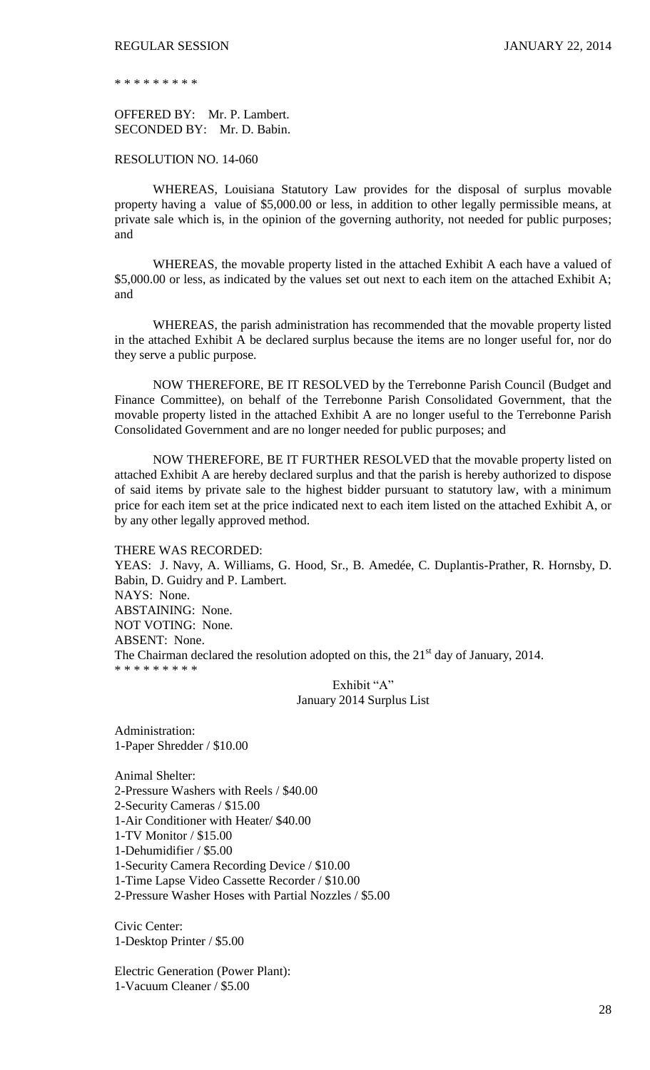\* \* \* \* \* \* \* \* \*

OFFERED BY: Mr. P. Lambert. SECONDED BY: Mr. D. Babin.

RESOLUTION NO. 14-060

WHEREAS, Louisiana Statutory Law provides for the disposal of surplus movable property having a value of \$5,000.00 or less, in addition to other legally permissible means, at private sale which is, in the opinion of the governing authority, not needed for public purposes; and

WHEREAS, the movable property listed in the attached Exhibit A each have a valued of \$5,000.00 or less, as indicated by the values set out next to each item on the attached Exhibit A; and

WHEREAS, the parish administration has recommended that the movable property listed in the attached Exhibit A be declared surplus because the items are no longer useful for, nor do they serve a public purpose.

NOW THEREFORE, BE IT RESOLVED by the Terrebonne Parish Council (Budget and Finance Committee), on behalf of the Terrebonne Parish Consolidated Government, that the movable property listed in the attached Exhibit A are no longer useful to the Terrebonne Parish Consolidated Government and are no longer needed for public purposes; and

NOW THEREFORE, BE IT FURTHER RESOLVED that the movable property listed on attached Exhibit A are hereby declared surplus and that the parish is hereby authorized to dispose of said items by private sale to the highest bidder pursuant to statutory law, with a minimum price for each item set at the price indicated next to each item listed on the attached Exhibit A, or by any other legally approved method.

THERE WAS RECORDED:

YEAS: J. Navy, A. Williams, G. Hood, Sr., B. Amedée, C. Duplantis-Prather, R. Hornsby, D. Babin, D. Guidry and P. Lambert. NAYS: None. ABSTAINING: None. NOT VOTING: None. ABSENT: None. The Chairman declared the resolution adopted on this, the  $21<sup>st</sup>$  day of January, 2014. \* \* \* \* \* \* \* \* \*

Exhibit "A" January 2014 Surplus List

Administration: 1-Paper Shredder / \$10.00

Animal Shelter: 2-Pressure Washers with Reels / \$40.00 2-Security Cameras / \$15.00 1-Air Conditioner with Heater/ \$40.00 1-TV Monitor / \$15.00 1-Dehumidifier / \$5.00 1-Security Camera Recording Device / \$10.00 1-Time Lapse Video Cassette Recorder / \$10.00 2-Pressure Washer Hoses with Partial Nozzles / \$5.00

Civic Center: 1-Desktop Printer / \$5.00

Electric Generation (Power Plant): 1-Vacuum Cleaner / \$5.00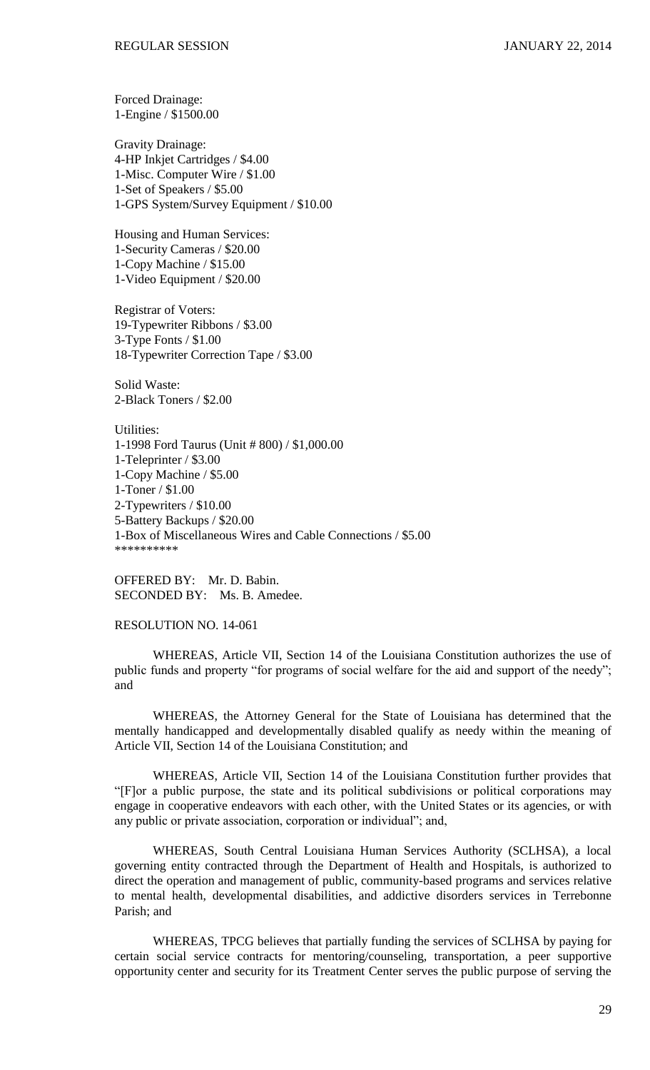Forced Drainage: 1-Engine / \$1500.00

Gravity Drainage: 4-HP Inkjet Cartridges / \$4.00 1-Misc. Computer Wire / \$1.00 1-Set of Speakers / \$5.00 1-GPS System/Survey Equipment / \$10.00

Housing and Human Services: 1-Security Cameras / \$20.00 1-Copy Machine / \$15.00 1-Video Equipment / \$20.00

Registrar of Voters: 19-Typewriter Ribbons / \$3.00 3-Type Fonts / \$1.00 18-Typewriter Correction Tape / \$3.00

Solid Waste: 2-Black Toners / \$2.00

Utilities: 1-1998 Ford Taurus (Unit # 800) / \$1,000.00 1-Teleprinter / \$3.00 1-Copy Machine / \$5.00 1-Toner / \$1.00 2-Typewriters / \$10.00 5-Battery Backups / \$20.00 1-Box of Miscellaneous Wires and Cable Connections / \$5.00 \*\*\*\*\*\*\*\*\*\*

OFFERED BY: Mr. D. Babin. SECONDED BY: Ms. B. Amedee.

RESOLUTION NO. 14-061

WHEREAS, Article VII, Section 14 of the Louisiana Constitution authorizes the use of public funds and property "for programs of social welfare for the aid and support of the needy"; and

WHEREAS, the Attorney General for the State of Louisiana has determined that the mentally handicapped and developmentally disabled qualify as needy within the meaning of Article VII, Section 14 of the Louisiana Constitution; and

WHEREAS, Article VII, Section 14 of the Louisiana Constitution further provides that "[F]or a public purpose, the state and its political subdivisions or political corporations may engage in cooperative endeavors with each other, with the United States or its agencies, or with any public or private association, corporation or individual"; and,

WHEREAS, South Central Louisiana Human Services Authority (SCLHSA), a local governing entity contracted through the Department of Health and Hospitals, is authorized to direct the operation and management of public, community-based programs and services relative to mental health, developmental disabilities, and addictive disorders services in Terrebonne Parish; and

WHEREAS, TPCG believes that partially funding the services of SCLHSA by paying for certain social service contracts for mentoring/counseling, transportation, a peer supportive opportunity center and security for its Treatment Center serves the public purpose of serving the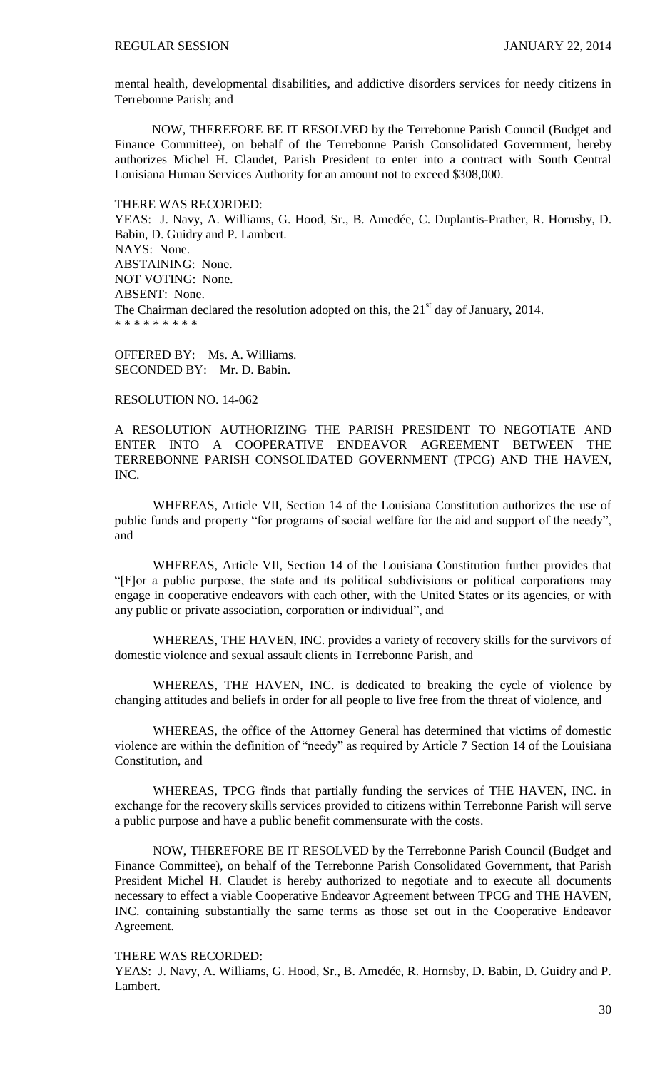mental health, developmental disabilities, and addictive disorders services for needy citizens in Terrebonne Parish; and

NOW, THEREFORE BE IT RESOLVED by the Terrebonne Parish Council (Budget and Finance Committee), on behalf of the Terrebonne Parish Consolidated Government, hereby authorizes Michel H. Claudet, Parish President to enter into a contract with South Central Louisiana Human Services Authority for an amount not to exceed \$308,000.

THERE WAS RECORDED:

YEAS: J. Navy, A. Williams, G. Hood, Sr., B. Amedée, C. Duplantis-Prather, R. Hornsby, D. Babin, D. Guidry and P. Lambert. NAYS: None. ABSTAINING: None. NOT VOTING: None. ABSENT: None. The Chairman declared the resolution adopted on this, the  $21<sup>st</sup>$  day of January, 2014. \* \* \* \* \* \* \* \* \*

OFFERED BY: Ms. A. Williams. SECONDED BY: Mr. D. Babin.

RESOLUTION NO. 14-062

A RESOLUTION AUTHORIZING THE PARISH PRESIDENT TO NEGOTIATE AND ENTER INTO A COOPERATIVE ENDEAVOR AGREEMENT BETWEEN THE TERREBONNE PARISH CONSOLIDATED GOVERNMENT (TPCG) AND THE HAVEN, INC.

WHEREAS, Article VII, Section 14 of the Louisiana Constitution authorizes the use of public funds and property "for programs of social welfare for the aid and support of the needy", and

WHEREAS, Article VII, Section 14 of the Louisiana Constitution further provides that "[F]or a public purpose, the state and its political subdivisions or political corporations may engage in cooperative endeavors with each other, with the United States or its agencies, or with any public or private association, corporation or individual", and

WHEREAS, THE HAVEN, INC. provides a variety of recovery skills for the survivors of domestic violence and sexual assault clients in Terrebonne Parish, and

WHEREAS, THE HAVEN, INC. is dedicated to breaking the cycle of violence by changing attitudes and beliefs in order for all people to live free from the threat of violence, and

WHEREAS, the office of the Attorney General has determined that victims of domestic violence are within the definition of "needy" as required by Article 7 Section 14 of the Louisiana Constitution, and

WHEREAS, TPCG finds that partially funding the services of THE HAVEN, INC. in exchange for the recovery skills services provided to citizens within Terrebonne Parish will serve a public purpose and have a public benefit commensurate with the costs.

NOW, THEREFORE BE IT RESOLVED by the Terrebonne Parish Council (Budget and Finance Committee), on behalf of the Terrebonne Parish Consolidated Government, that Parish President Michel H. Claudet is hereby authorized to negotiate and to execute all documents necessary to effect a viable Cooperative Endeavor Agreement between TPCG and THE HAVEN, INC. containing substantially the same terms as those set out in the Cooperative Endeavor Agreement.

THERE WAS RECORDED:

YEAS: J. Navy, A. Williams, G. Hood, Sr., B. Amedée, R. Hornsby, D. Babin, D. Guidry and P. Lambert.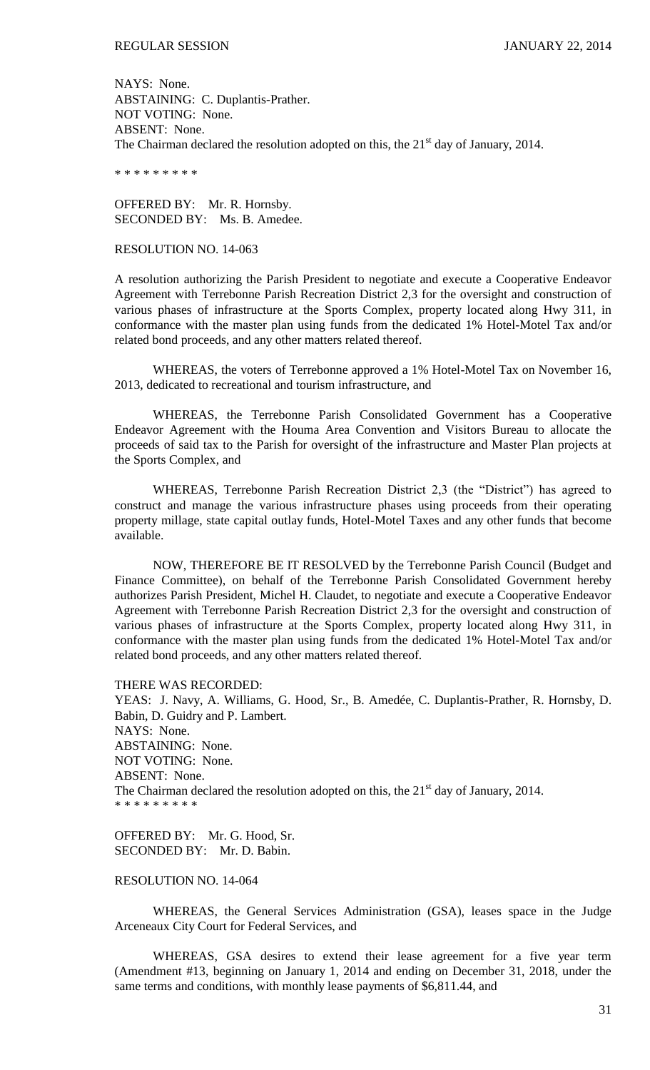NAYS: None. ABSTAINING: C. Duplantis-Prather. NOT VOTING: None. ABSENT: None. The Chairman declared the resolution adopted on this, the  $21<sup>st</sup>$  day of January, 2014.

\* \* \* \* \* \* \* \* \*

OFFERED BY: Mr. R. Hornsby. SECONDED BY: Ms. B. Amedee.

#### RESOLUTION NO. 14-063

A resolution authorizing the Parish President to negotiate and execute a Cooperative Endeavor Agreement with Terrebonne Parish Recreation District 2,3 for the oversight and construction of various phases of infrastructure at the Sports Complex, property located along Hwy 311, in conformance with the master plan using funds from the dedicated 1% Hotel-Motel Tax and/or related bond proceeds, and any other matters related thereof.

WHEREAS, the voters of Terrebonne approved a 1% Hotel-Motel Tax on November 16, 2013, dedicated to recreational and tourism infrastructure, and

WHEREAS, the Terrebonne Parish Consolidated Government has a Cooperative Endeavor Agreement with the Houma Area Convention and Visitors Bureau to allocate the proceeds of said tax to the Parish for oversight of the infrastructure and Master Plan projects at the Sports Complex, and

WHEREAS, Terrebonne Parish Recreation District 2,3 (the "District") has agreed to construct and manage the various infrastructure phases using proceeds from their operating property millage, state capital outlay funds, Hotel-Motel Taxes and any other funds that become available.

NOW, THEREFORE BE IT RESOLVED by the Terrebonne Parish Council (Budget and Finance Committee), on behalf of the Terrebonne Parish Consolidated Government hereby authorizes Parish President, Michel H. Claudet, to negotiate and execute a Cooperative Endeavor Agreement with Terrebonne Parish Recreation District 2,3 for the oversight and construction of various phases of infrastructure at the Sports Complex, property located along Hwy 311, in conformance with the master plan using funds from the dedicated 1% Hotel-Motel Tax and/or related bond proceeds, and any other matters related thereof.

THERE WAS RECORDED:

YEAS: J. Navy, A. Williams, G. Hood, Sr., B. Amedée, C. Duplantis-Prather, R. Hornsby, D. Babin, D. Guidry and P. Lambert. NAYS: None. ABSTAINING: None. NOT VOTING: None. ABSENT: None. The Chairman declared the resolution adopted on this, the  $21<sup>st</sup>$  day of January, 2014. \* \* \* \* \* \* \* \* \*

OFFERED BY: Mr. G. Hood, Sr. SECONDED BY: Mr. D. Babin.

## RESOLUTION NO. 14-064

WHEREAS, the General Services Administration (GSA), leases space in the Judge Arceneaux City Court for Federal Services, and

WHEREAS, GSA desires to extend their lease agreement for a five year term (Amendment #13, beginning on January 1, 2014 and ending on December 31, 2018, under the same terms and conditions, with monthly lease payments of \$6,811.44, and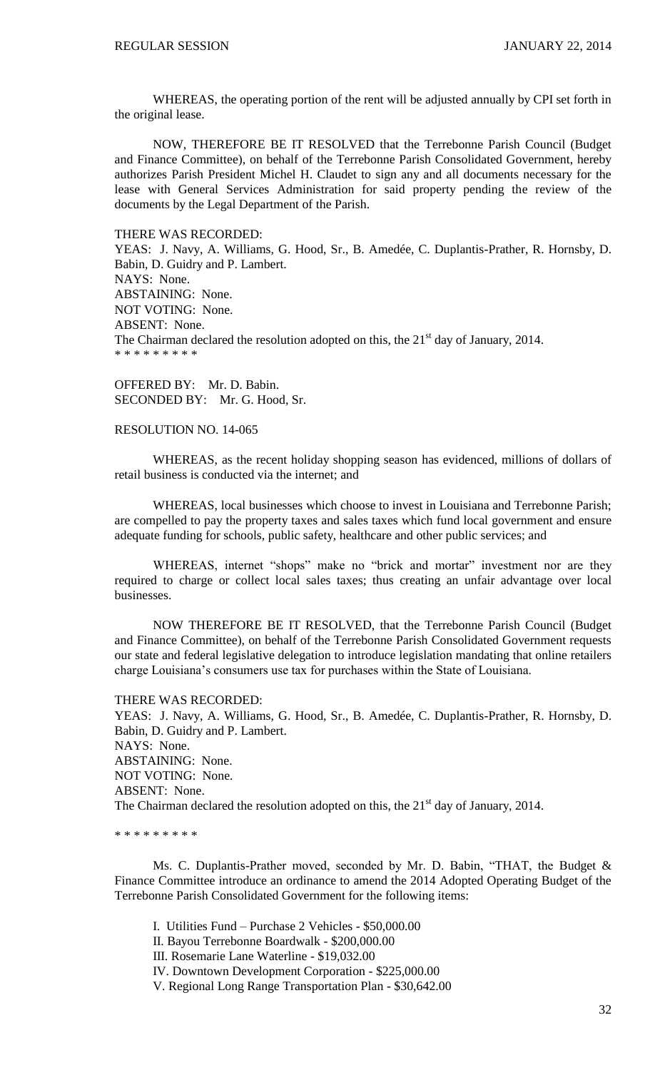WHEREAS, the operating portion of the rent will be adjusted annually by CPI set forth in the original lease.

NOW, THEREFORE BE IT RESOLVED that the Terrebonne Parish Council (Budget and Finance Committee), on behalf of the Terrebonne Parish Consolidated Government, hereby authorizes Parish President Michel H. Claudet to sign any and all documents necessary for the lease with General Services Administration for said property pending the review of the documents by the Legal Department of the Parish.

THERE WAS RECORDED:

YEAS: J. Navy, A. Williams, G. Hood, Sr., B. Amedée, C. Duplantis-Prather, R. Hornsby, D. Babin, D. Guidry and P. Lambert. NAYS: None. ABSTAINING: None. NOT VOTING: None. ABSENT: None. The Chairman declared the resolution adopted on this, the  $21<sup>st</sup>$  day of January, 2014. \* \* \* \* \* \* \* \*

OFFERED BY: Mr. D. Babin. SECONDED BY: Mr. G. Hood, Sr.

## RESOLUTION NO. 14-065

WHEREAS, as the recent holiday shopping season has evidenced, millions of dollars of retail business is conducted via the internet; and

WHEREAS, local businesses which choose to invest in Louisiana and Terrebonne Parish; are compelled to pay the property taxes and sales taxes which fund local government and ensure adequate funding for schools, public safety, healthcare and other public services; and

WHEREAS, internet "shops" make no "brick and mortar" investment nor are they required to charge or collect local sales taxes; thus creating an unfair advantage over local businesses.

NOW THEREFORE BE IT RESOLVED, that the Terrebonne Parish Council (Budget and Finance Committee), on behalf of the Terrebonne Parish Consolidated Government requests our state and federal legislative delegation to introduce legislation mandating that online retailers charge Louisiana's consumers use tax for purchases within the State of Louisiana.

#### THERE WAS RECORDED:

YEAS: J. Navy, A. Williams, G. Hood, Sr., B. Amedée, C. Duplantis-Prather, R. Hornsby, D. Babin, D. Guidry and P. Lambert. NAYS: None. ABSTAINING: None. NOT VOTING: None. ABSENT: None. The Chairman declared the resolution adopted on this, the  $21<sup>st</sup>$  day of January, 2014.

\* \* \* \* \* \* \* \* \*

Ms. C. Duplantis-Prather moved, seconded by Mr. D. Babin, "THAT, the Budget & Finance Committee introduce an ordinance to amend the 2014 Adopted Operating Budget of the Terrebonne Parish Consolidated Government for the following items:

I. Utilities Fund – Purchase 2 Vehicles - \$50,000.00

II. Bayou Terrebonne Boardwalk - \$200,000.00

III. Rosemarie Lane Waterline - \$19,032.00

IV. Downtown Development Corporation - \$225,000.00

V. Regional Long Range Transportation Plan - \$30,642.00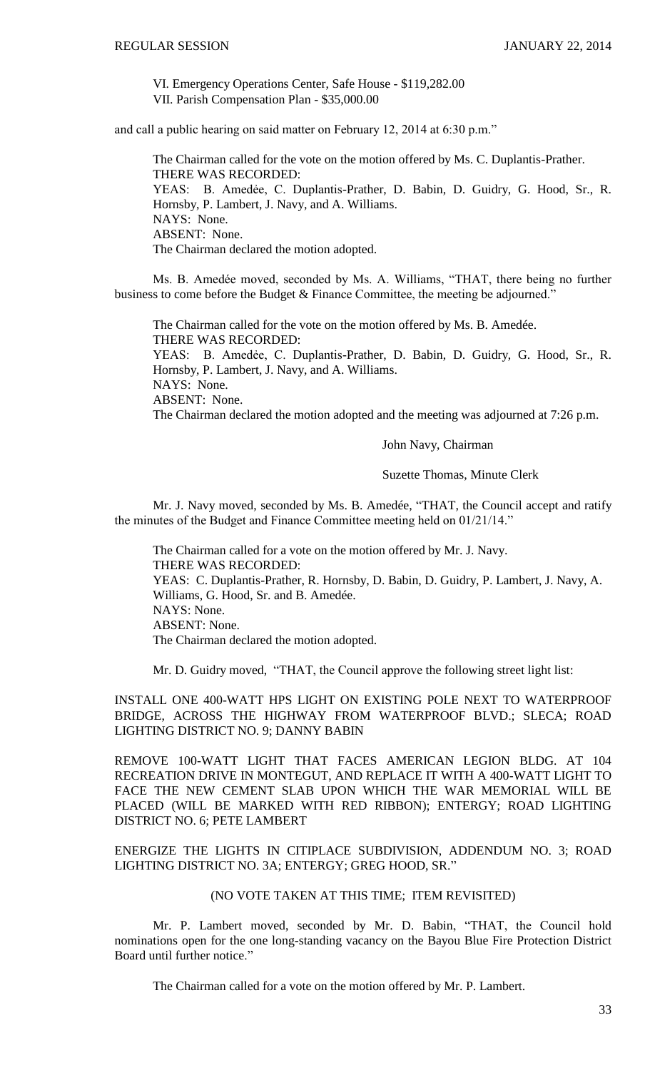VI. Emergency Operations Center, Safe House - \$119,282.00 VII. Parish Compensation Plan - \$35,000.00

and call a public hearing on said matter on February 12, 2014 at 6:30 p.m."

The Chairman called for the vote on the motion offered by Ms. C. Duplantis-Prather. THERE WAS RECORDED: YEAS: B. Amedẻe, C. Duplantis-Prather, D. Babin, D. Guidry, G. Hood, Sr., R. Hornsby, P. Lambert, J. Navy, and A. Williams. NAYS: None. ABSENT: None. The Chairman declared the motion adopted.

Ms. B. Amedée moved, seconded by Ms. A. Williams, "THAT, there being no further business to come before the Budget & Finance Committee, the meeting be adjourned."

The Chairman called for the vote on the motion offered by Ms. B. Amedée. THERE WAS RECORDED: YEAS: B. Amedẻe, C. Duplantis-Prather, D. Babin, D. Guidry, G. Hood, Sr., R. Hornsby, P. Lambert, J. Navy, and A. Williams. NAYS: None. ABSENT: None. The Chairman declared the motion adopted and the meeting was adjourned at 7:26 p.m.

John Navy, Chairman

Suzette Thomas, Minute Clerk

Mr. J. Navy moved, seconded by Ms. B. Amedée, "THAT, the Council accept and ratify the minutes of the Budget and Finance Committee meeting held on 01/21/14."

The Chairman called for a vote on the motion offered by Mr. J. Navy. THERE WAS RECORDED: YEAS: C. Duplantis-Prather, R. Hornsby, D. Babin, D. Guidry, P. Lambert, J. Navy, A. Williams, G. Hood, Sr. and B. Amedée. NAYS: None. ABSENT: None. The Chairman declared the motion adopted.

Mr. D. Guidry moved, "THAT, the Council approve the following street light list:

INSTALL ONE 400-WATT HPS LIGHT ON EXISTING POLE NEXT TO WATERPROOF BRIDGE, ACROSS THE HIGHWAY FROM WATERPROOF BLVD.; SLECA; ROAD LIGHTING DISTRICT NO. 9; DANNY BABIN

REMOVE 100-WATT LIGHT THAT FACES AMERICAN LEGION BLDG. AT 104 RECREATION DRIVE IN MONTEGUT, AND REPLACE IT WITH A 400-WATT LIGHT TO FACE THE NEW CEMENT SLAB UPON WHICH THE WAR MEMORIAL WILL BE PLACED (WILL BE MARKED WITH RED RIBBON); ENTERGY; ROAD LIGHTING DISTRICT NO. 6; PETE LAMBERT

ENERGIZE THE LIGHTS IN CITIPLACE SUBDIVISION, ADDENDUM NO. 3; ROAD LIGHTING DISTRICT NO. 3A; ENTERGY; GREG HOOD, SR."

# (NO VOTE TAKEN AT THIS TIME; ITEM REVISITED)

Mr. P. Lambert moved, seconded by Mr. D. Babin, "THAT, the Council hold nominations open for the one long-standing vacancy on the Bayou Blue Fire Protection District Board until further notice."

The Chairman called for a vote on the motion offered by Mr. P. Lambert.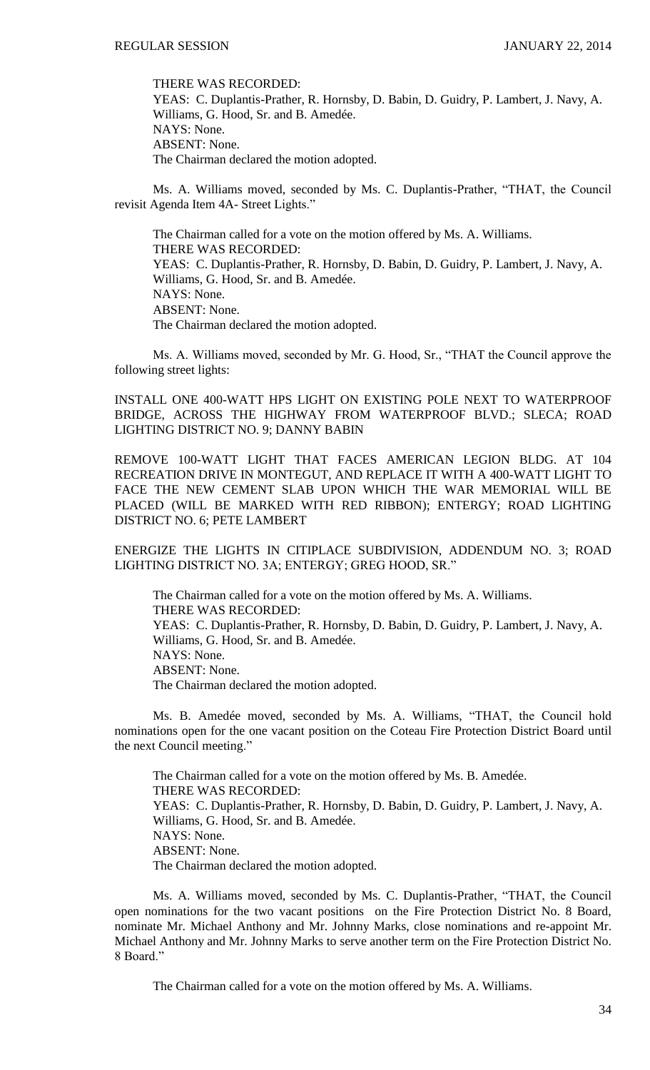THERE WAS RECORDED:

YEAS: C. Duplantis-Prather, R. Hornsby, D. Babin, D. Guidry, P. Lambert, J. Navy, A. Williams, G. Hood, Sr. and B. Amedée. NAYS: None. ABSENT: None. The Chairman declared the motion adopted.

Ms. A. Williams moved, seconded by Ms. C. Duplantis-Prather, "THAT, the Council revisit Agenda Item 4A- Street Lights."

The Chairman called for a vote on the motion offered by Ms. A. Williams. THERE WAS RECORDED: YEAS: C. Duplantis-Prather, R. Hornsby, D. Babin, D. Guidry, P. Lambert, J. Navy, A. Williams, G. Hood, Sr. and B. Amedée. NAYS: None. ABSENT: None. The Chairman declared the motion adopted.

Ms. A. Williams moved, seconded by Mr. G. Hood, Sr., "THAT the Council approve the following street lights:

INSTALL ONE 400-WATT HPS LIGHT ON EXISTING POLE NEXT TO WATERPROOF BRIDGE, ACROSS THE HIGHWAY FROM WATERPROOF BLVD.; SLECA; ROAD LIGHTING DISTRICT NO. 9; DANNY BABIN

REMOVE 100-WATT LIGHT THAT FACES AMERICAN LEGION BLDG. AT 104 RECREATION DRIVE IN MONTEGUT, AND REPLACE IT WITH A 400-WATT LIGHT TO FACE THE NEW CEMENT SLAB UPON WHICH THE WAR MEMORIAL WILL BE PLACED (WILL BE MARKED WITH RED RIBBON); ENTERGY; ROAD LIGHTING DISTRICT NO. 6; PETE LAMBERT

ENERGIZE THE LIGHTS IN CITIPLACE SUBDIVISION, ADDENDUM NO. 3; ROAD LIGHTING DISTRICT NO. 3A; ENTERGY; GREG HOOD, SR."

The Chairman called for a vote on the motion offered by Ms. A. Williams. THERE WAS RECORDED: YEAS: C. Duplantis-Prather, R. Hornsby, D. Babin, D. Guidry, P. Lambert, J. Navy, A. Williams, G. Hood, Sr. and B. Amedée. NAYS: None. ABSENT: None. The Chairman declared the motion adopted.

Ms. B. Amedée moved, seconded by Ms. A. Williams, "THAT, the Council hold nominations open for the one vacant position on the Coteau Fire Protection District Board until the next Council meeting."

The Chairman called for a vote on the motion offered by Ms. B. Amedée. THERE WAS RECORDED: YEAS: C. Duplantis-Prather, R. Hornsby, D. Babin, D. Guidry, P. Lambert, J. Navy, A. Williams, G. Hood, Sr. and B. Amedée. NAYS: None. ABSENT: None. The Chairman declared the motion adopted.

Ms. A. Williams moved, seconded by Ms. C. Duplantis-Prather, "THAT, the Council open nominations for the two vacant positions on the Fire Protection District No. 8 Board, nominate Mr. Michael Anthony and Mr. Johnny Marks, close nominations and re-appoint Mr. Michael Anthony and Mr. Johnny Marks to serve another term on the Fire Protection District No. 8 Board."

The Chairman called for a vote on the motion offered by Ms. A. Williams.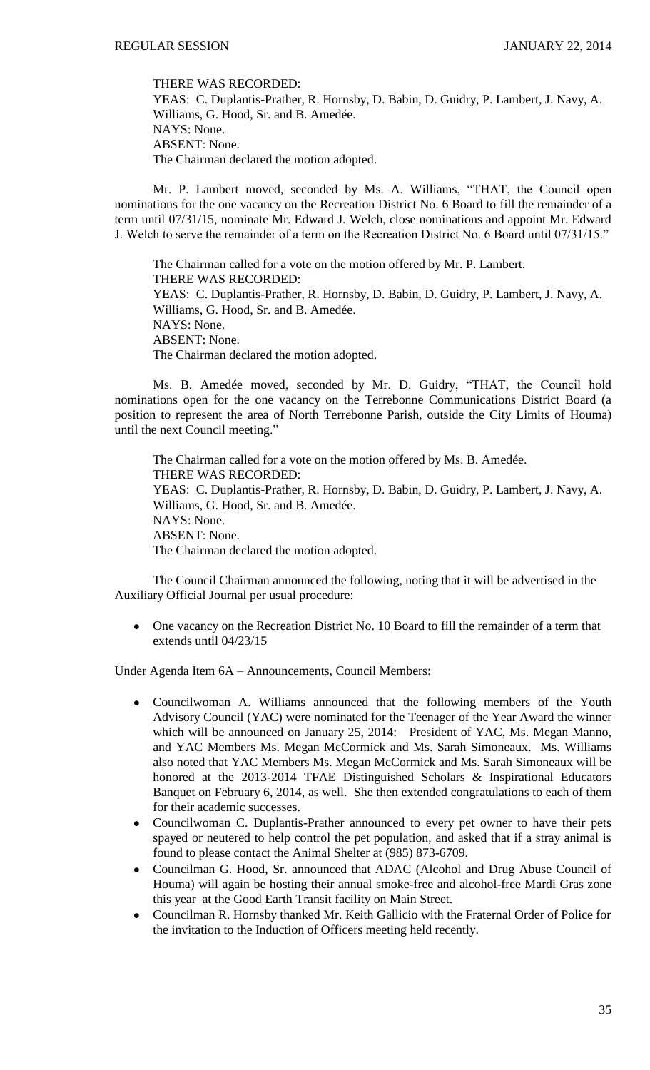THERE WAS RECORDED:

YEAS: C. Duplantis-Prather, R. Hornsby, D. Babin, D. Guidry, P. Lambert, J. Navy, A. Williams, G. Hood, Sr. and B. Amedée. NAYS: None. ABSENT: None. The Chairman declared the motion adopted.

Mr. P. Lambert moved, seconded by Ms. A. Williams, "THAT, the Council open nominations for the one vacancy on the Recreation District No. 6 Board to fill the remainder of a term until 07/31/15, nominate Mr. Edward J. Welch, close nominations and appoint Mr. Edward J. Welch to serve the remainder of a term on the Recreation District No. 6 Board until 07/31/15."

The Chairman called for a vote on the motion offered by Mr. P. Lambert. THERE WAS RECORDED: YEAS: C. Duplantis-Prather, R. Hornsby, D. Babin, D. Guidry, P. Lambert, J. Navy, A. Williams, G. Hood, Sr. and B. Amedée. NAYS: None. ABSENT: None. The Chairman declared the motion adopted.

Ms. B. Amedée moved, seconded by Mr. D. Guidry, "THAT, the Council hold nominations open for the one vacancy on the Terrebonne Communications District Board (a position to represent the area of North Terrebonne Parish, outside the City Limits of Houma) until the next Council meeting."

The Chairman called for a vote on the motion offered by Ms. B. Amedée. THERE WAS RECORDED: YEAS: C. Duplantis-Prather, R. Hornsby, D. Babin, D. Guidry, P. Lambert, J. Navy, A. Williams, G. Hood, Sr. and B. Amedée. NAYS: None. ABSENT: None. The Chairman declared the motion adopted.

The Council Chairman announced the following, noting that it will be advertised in the Auxiliary Official Journal per usual procedure:

One vacancy on the Recreation District No. 10 Board to fill the remainder of a term that extends until 04/23/15

Under Agenda Item 6A – Announcements, Council Members:

- Councilwoman A. Williams announced that the following members of the Youth  $\bullet$ Advisory Council (YAC) were nominated for the Teenager of the Year Award the winner which will be announced on January 25, 2014: President of YAC, Ms. Megan Manno, and YAC Members Ms. Megan McCormick and Ms. Sarah Simoneaux. Ms. Williams also noted that YAC Members Ms. Megan McCormick and Ms. Sarah Simoneaux will be honored at the 2013-2014 TFAE Distinguished Scholars & Inspirational Educators Banquet on February 6, 2014, as well. She then extended congratulations to each of them for their academic successes.
- Councilwoman C. Duplantis-Prather announced to every pet owner to have their pets spayed or neutered to help control the pet population, and asked that if a stray animal is found to please contact the Animal Shelter at (985) 873-6709.
- $\bullet$ Councilman G. Hood, Sr. announced that ADAC (Alcohol and Drug Abuse Council of Houma) will again be hosting their annual smoke-free and alcohol-free Mardi Gras zone this year at the Good Earth Transit facility on Main Street.
- Councilman R. Hornsby thanked Mr. Keith Gallicio with the Fraternal Order of Police for  $\bullet$ the invitation to the Induction of Officers meeting held recently.